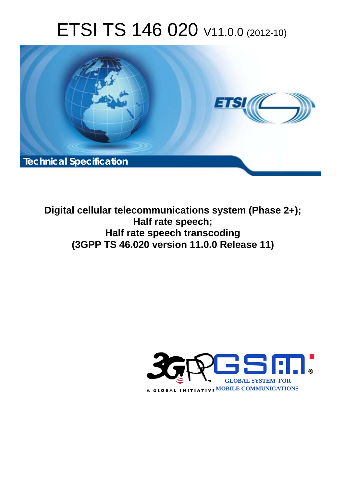# ETSI TS 146 020 V11.0.0 (2012-10)



**Digital cellular telecommunications system (Phase 2+); Half rate speech; Half rate speech transcoding (3GPP TS 46.020 version 11.0.0 Release 11)** 

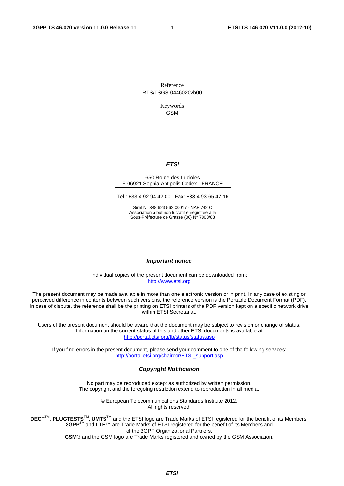Reference RTS/TSGS-0446020vb00

> Keywords GSM

#### *ETSI*

#### 650 Route des Lucioles F-06921 Sophia Antipolis Cedex - FRANCE

Tel.: +33 4 92 94 42 00 Fax: +33 4 93 65 47 16

Siret N° 348 623 562 00017 - NAF 742 C Association à but non lucratif enregistrée à la Sous-Préfecture de Grasse (06) N° 7803/88

#### *Important notice*

Individual copies of the present document can be downloaded from: [http://www.etsi.org](http://www.etsi.org/)

The present document may be made available in more than one electronic version or in print. In any case of existing or perceived difference in contents between such versions, the reference version is the Portable Document Format (PDF). In case of dispute, the reference shall be the printing on ETSI printers of the PDF version kept on a specific network drive within ETSI Secretariat.

Users of the present document should be aware that the document may be subject to revision or change of status. Information on the current status of this and other ETSI documents is available at <http://portal.etsi.org/tb/status/status.asp>

If you find errors in the present document, please send your comment to one of the following services: [http://portal.etsi.org/chaircor/ETSI\\_support.asp](http://portal.etsi.org/chaircor/ETSI_support.asp)

#### *Copyright Notification*

No part may be reproduced except as authorized by written permission. The copyright and the foregoing restriction extend to reproduction in all media.

> © European Telecommunications Standards Institute 2012. All rights reserved.

**DECT**TM, **PLUGTESTS**TM, **UMTS**TM and the ETSI logo are Trade Marks of ETSI registered for the benefit of its Members. **3GPP**TM and **LTE**™ are Trade Marks of ETSI registered for the benefit of its Members and of the 3GPP Organizational Partners.

**GSM**® and the GSM logo are Trade Marks registered and owned by the GSM Association.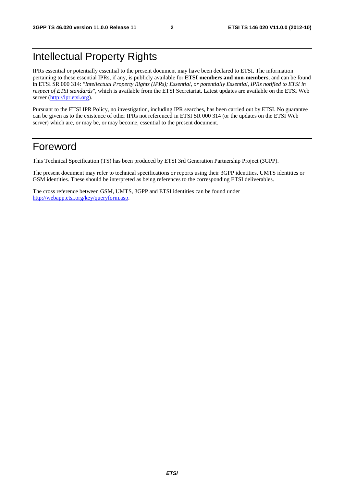## Intellectual Property Rights

IPRs essential or potentially essential to the present document may have been declared to ETSI. The information pertaining to these essential IPRs, if any, is publicly available for **ETSI members and non-members**, and can be found in ETSI SR 000 314: *"Intellectual Property Rights (IPRs); Essential, or potentially Essential, IPRs notified to ETSI in respect of ETSI standards"*, which is available from the ETSI Secretariat. Latest updates are available on the ETSI Web server [\(http://ipr.etsi.org](http://webapp.etsi.org/IPR/home.asp)).

Pursuant to the ETSI IPR Policy, no investigation, including IPR searches, has been carried out by ETSI. No guarantee can be given as to the existence of other IPRs not referenced in ETSI SR 000 314 (or the updates on the ETSI Web server) which are, or may be, or may become, essential to the present document.

## Foreword

This Technical Specification (TS) has been produced by ETSI 3rd Generation Partnership Project (3GPP).

The present document may refer to technical specifications or reports using their 3GPP identities, UMTS identities or GSM identities. These should be interpreted as being references to the corresponding ETSI deliverables.

The cross reference between GSM, UMTS, 3GPP and ETSI identities can be found under [http://webapp.etsi.org/key/queryform.asp.](http://webapp.etsi.org/key/queryform.asp)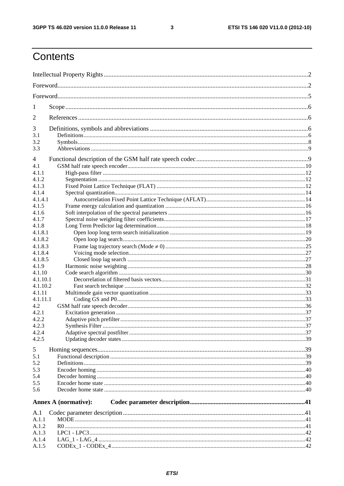$\mathbf{3}$ 

## Contents

| 1              |                             |  |
|----------------|-----------------------------|--|
| 2              |                             |  |
| 3              |                             |  |
| 3.1            |                             |  |
| 3.2            |                             |  |
| 3.3            |                             |  |
| 4              |                             |  |
| 4.1            |                             |  |
| 4.1.1          |                             |  |
| 4.1.2          |                             |  |
| 4.1.3          |                             |  |
| 4.1.4          |                             |  |
| 4.1.4.1        |                             |  |
| 4.1.5          |                             |  |
| 4.1.6          |                             |  |
| 4.1.7          |                             |  |
| 4.1.8          |                             |  |
| 4.1.8.1        |                             |  |
| 4.1.8.2        |                             |  |
| 4.1.8.3        |                             |  |
| 4.1.8.4        |                             |  |
| 4.1.8.5        |                             |  |
| 4.1.9          |                             |  |
| 4.1.10         |                             |  |
| 4.1.10.1       |                             |  |
| 4.1.10.2       |                             |  |
| 4.1.11         |                             |  |
| 4.1.11.1       |                             |  |
| 4.2            |                             |  |
| 4.2.1          |                             |  |
| 4.2.2          |                             |  |
| 4.2.3          |                             |  |
| 4.2.4          |                             |  |
| 4.2.5          |                             |  |
| 5              |                             |  |
| 5.1            |                             |  |
| 5.2            |                             |  |
| 5.3            |                             |  |
| 5.4            |                             |  |
| 5.5            |                             |  |
| 5.6            |                             |  |
|                |                             |  |
|                | <b>Annex A (normative):</b> |  |
| A.1            |                             |  |
| A.1.1          |                             |  |
| A.1.2<br>A.1.3 |                             |  |
| A.1.4          |                             |  |
| A.1.5          |                             |  |
|                |                             |  |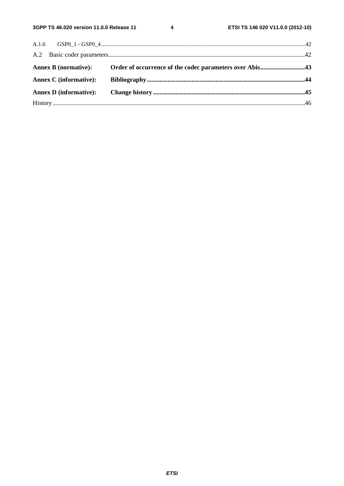$\overline{\mathbf{4}}$ 

|                               | Annex B (normative): Order of occurrence of the codec parameters over Abis43 |  |
|-------------------------------|------------------------------------------------------------------------------|--|
|                               |                                                                              |  |
| <b>Annex C</b> (informative): |                                                                              |  |
|                               |                                                                              |  |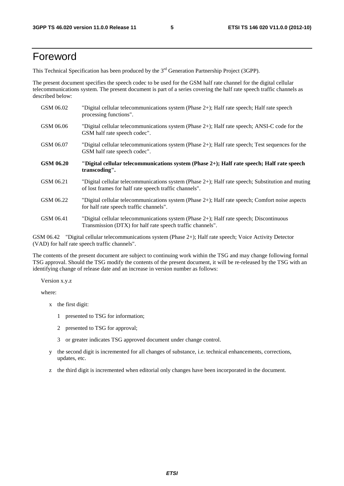## Foreword

This Technical Specification has been produced by the 3<sup>rd</sup> Generation Partnership Project (3GPP).

The present document specifies the speech codec to be used for the GSM half rate channel for the digital cellular telecommunications system. The present document is part of a series covering the half rate speech traffic channels as described below:

| GSM 06.02        | "Digital cellular telecommunications system (Phase $2+$ ); Half rate speech; Half rate speech<br>processing functions".                                     |
|------------------|-------------------------------------------------------------------------------------------------------------------------------------------------------------|
| GSM 06.06        | "Digital cellular telecommunications system (Phase $2+$ ); Half rate speech; ANSI-C code for the<br>GSM half rate speech codec".                            |
| GSM 06.07        | "Digital cellular telecommunications system (Phase 2+); Half rate speech; Test sequences for the<br>GSM half rate speech codec".                            |
| <b>GSM 06.20</b> | "Digital cellular telecommunications system (Phase 2+); Half rate speech; Half rate speech<br>transcoding".                                                 |
| GSM 06.21        | "Digital cellular telecommunications system (Phase 2+); Half rate speech; Substitution and muting<br>of lost frames for half rate speech traffic channels". |
| GSM 06.22        | "Digital cellular telecommunications system (Phase 2+); Half rate speech; Comfort noise aspects<br>for half rate speech traffic channels".                  |
| GSM 06.41        | "Digital cellular telecommunications system (Phase 2+); Half rate speech; Discontinuous<br>Transmission (DTX) for half rate speech traffic channels".       |

GSM 06.42 "Digital cellular telecommunications system (Phase 2+); Half rate speech; Voice Activity Detector (VAD) for half rate speech traffic channels".

The contents of the present document are subject to continuing work within the TSG and may change following formal TSG approval. Should the TSG modify the contents of the present document, it will be re-released by the TSG with an identifying change of release date and an increase in version number as follows:

Version x.y.z

where:

- x the first digit:
	- 1 presented to TSG for information;
	- 2 presented to TSG for approval;
	- 3 or greater indicates TSG approved document under change control.
- y the second digit is incremented for all changes of substance, i.e. technical enhancements, corrections, updates, etc.
- z the third digit is incremented when editorial only changes have been incorporated in the document.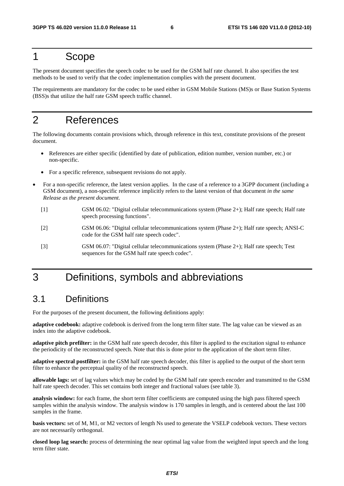## 1 Scope

The present document specifies the speech codec to be used for the GSM half rate channel. It also specifies the test methods to be used to verify that the codec implementation complies with the present document.

The requirements are mandatory for the codec to be used either in GSM Mobile Stations (MS)s or Base Station Systems (BSS)s that utilize the half rate GSM speech traffic channel.

## 2 References

The following documents contain provisions which, through reference in this text, constitute provisions of the present document.

- References are either specific (identified by date of publication, edition number, version number, etc.) or non-specific.
- For a specific reference, subsequent revisions do not apply.
- For a non-specific reference, the latest version applies. In the case of a reference to a 3GPP document (including a GSM document), a non-specific reference implicitly refers to the latest version of that document *in the same Release as the present document*.
	- [1] GSM 06.02: "Digital cellular telecommunications system (Phase 2+); Half rate speech; Half rate speech processing functions".
	- [2] GSM 06.06: "Digital cellular telecommunications system (Phase 2+); Half rate speech; ANSI-C code for the GSM half rate speech codec".
	- [3] GSM 06.07: "Digital cellular telecommunications system (Phase 2+); Half rate speech; Test sequences for the GSM half rate speech codec".

## 3 Definitions, symbols and abbreviations

## 3.1 Definitions

For the purposes of the present document, the following definitions apply:

**adaptive codebook:** adaptive codebook is derived from the long term filter state. The lag value can be viewed as an index into the adaptive codebook.

**adaptive pitch prefilter:** in the GSM half rate speech decoder, this filter is applied to the excitation signal to enhance the periodicity of the reconstructed speech. Note that this is done prior to the application of the short term filter.

**adaptive spectral postfilter:** in the GSM half rate speech decoder, this filter is applied to the output of the short term filter to enhance the perceptual quality of the reconstructed speech.

**allowable lags:** set of lag values which may be coded by the GSM half rate speech encoder and transmitted to the GSM half rate speech decoder. This set contains both integer and fractional values (see table 3).

**analysis window:** for each frame, the short term filter coefficients are computed using the high pass filtered speech samples within the analysis window. The analysis window is 170 samples in length, and is centered about the last 100 samples in the frame.

**basis vectors:** set of M, M1, or M2 vectors of length Ns used to generate the VSELP codebook vectors. These vectors are not necessarily orthogonal.

**closed loop lag search:** process of determining the near optimal lag value from the weighted input speech and the long term filter state.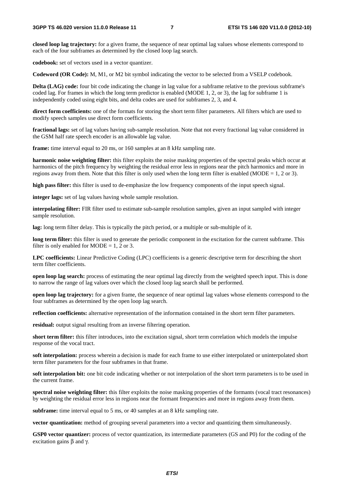**closed loop lag trajectory:** for a given frame, the sequence of near optimal lag values whose elements correspond to each of the four subframes as determined by the closed loop lag search.

**codebook:** set of vectors used in a vector quantizer.

**Codeword (OR Code):** M, M1, or M2 bit symbol indicating the vector to be selected from a VSELP codebook.

**Delta (LAG) code:** four bit code indicating the change in lag value for a subframe relative to the previous subframe's coded lag. For frames in which the long term predictor is enabled (MODE 1, 2, or 3), the lag for subframe 1 is independently coded using eight bits, and delta codes are used for subframes 2, 3, and 4.

**direct form coefficients:** one of the formats for storing the short term filter parameters. All filters which are used to modify speech samples use direct form coefficients.

**fractional lags:** set of lag values having sub-sample resolution. Note that not every fractional lag value considered in the GSM half rate speech encoder is an allowable lag value.

**frame:** time interval equal to 20 ms, or 160 samples at an 8 kHz sampling rate.

**harmonic noise weighting filter:** this filter exploits the noise masking properties of the spectral peaks which occur at harmonics of the pitch frequency by weighting the residual error less in regions near the pitch harmonics and more in regions away from them. Note that this filter is only used when the long term filter is enabled (MODE = 1, 2 or 3).

**high pass filter:** this filter is used to de-emphasize the low frequency components of the input speech signal.

**integer lags:** set of lag values having whole sample resolution.

**interpolating filter:** FIR filter used to estimate sub-sample resolution samples, given an input sampled with integer sample resolution.

**lag:** long term filter delay. This is typically the pitch period, or a multiple or sub-multiple of it.

**long term filter:** this filter is used to generate the periodic component in the excitation for the current subframe. This filter is only enabled for  $MODE = 1, 2$  or 3.

**LPC coefficients:** Linear Predictive Coding (LPC) coefficients is a generic descriptive term for describing the short term filter coefficients.

**open loop lag search:** process of estimating the near optimal lag directly from the weighted speech input. This is done to narrow the range of lag values over which the closed loop lag search shall be performed.

**open loop lag trajectory:** for a given frame, the sequence of near optimal lag values whose elements correspond to the four subframes as determined by the open loop lag search.

**reflection coefficients:** alternative representation of the information contained in the short term filter parameters.

**residual:** output signal resulting from an inverse filtering operation.

**short term filter:** this filter introduces, into the excitation signal, short term correlation which models the impulse response of the vocal tract.

**soft interpolation:** process wherein a decision is made for each frame to use either interpolated or uninterpolated short term filter parameters for the four subframes in that frame.

**soft interpolation bit:** one bit code indicating whether or not interpolation of the short term parameters is to be used in the current frame.

**spectral noise weighting filter:** this filter exploits the noise masking properties of the formants (vocal tract resonances) by weighting the residual error less in regions near the formant frequencies and more in regions away from them.

**subframe:** time interval equal to 5 ms, or 40 samples at an 8 kHz sampling rate.

**vector quantization:** method of grouping several parameters into a vector and quantizing them simultaneously.

**GSP0 vector quantizer:** process of vector quantization, its intermediate parameters (GS and P0) for the coding of the excitation gains β and γ.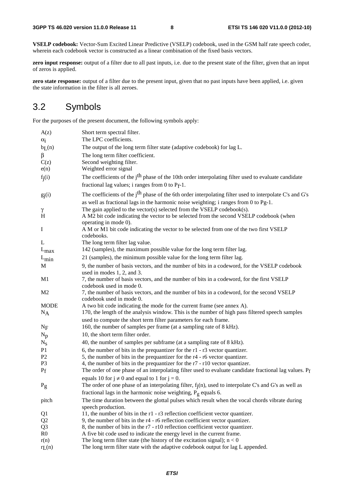**VSELP codebook:** Vector-Sum Excited Linear Predictive (VSELP) codebook, used in the GSM half rate speech coder, wherein each codebook vector is constructed as a linear combination of the fixed basis vectors.

**zero input response:** output of a filter due to all past inputs, i.e. due to the present state of the filter, given that an input of zeros is applied.

**zero state response:** output of a filter due to the present input, given that no past inputs have been applied, i.e. given the state information in the filter is all zeroes.

## 3.2 Symbols

For the purposes of the present document, the following symbols apply:

| A(z)<br>$\alpha_i$         | Short term spectral filter.<br>The LPC coefficients.                                                                                                                                                        |
|----------------------------|-------------------------------------------------------------------------------------------------------------------------------------------------------------------------------------------------------------|
| bL(n)                      | The output of the long term filter state (adaptive codebook) for lag L.                                                                                                                                     |
| β<br>C(z)<br>e(n)          | The long term filter coefficient.<br>Second weighting filter.<br>Weighted error signal                                                                                                                      |
| $f_j(i)$                   | The coefficients of the j <sup>th</sup> phase of the 10th order interpolating filter used to evaluate candidate<br>fractional lag values; i ranges from 0 to $P_f-1$ .                                      |
| $g_j(i)$                   | The coefficients of the j <sup>th</sup> phase of the 6th order interpolating filter used to interpolate C's and G's<br>as well as fractional lags in the harmonic noise weighting; i ranges from 0 to Pg-1. |
| γ<br>H                     | The gain applied to the vector(s) selected from the VSELP codebook(s).<br>A M2 bit code indicating the vector to be selected from the second VSELP codebook (when<br>operating in mode 0).                  |
| Ι                          | A M or M1 bit code indicating the vector to be selected from one of the two first VSELP<br>codebooks.                                                                                                       |
| L                          | The long term filter lag value.                                                                                                                                                                             |
| $\mathcal{L}_{\text{max}}$ | 142 (samples), the maximum possible value for the long term filter lag.                                                                                                                                     |
| $L_{\text{min}}$           | 21 (samples), the minimum possible value for the long term filter lag.                                                                                                                                      |
| M                          | 9, the number of basis vectors, and the number of bits in a codeword, for the VSELP codebook<br>used in modes 1, 2, and 3.                                                                                  |
| M <sub>1</sub>             | 7, the number of basis vectors, and the number of bits in a codeword, for the first VSELP<br>codebook used in mode 0.                                                                                       |
| M <sub>2</sub>             | 7, the number of basis vectors, and the number of bits in a codeword, for the second VSELP<br>codebook used in mode 0.                                                                                      |
| <b>MODE</b><br>$N_A$       | A two bit code indicating the mode for the current frame (see annex A).<br>170, the length of the analysis window. This is the number of high pass filtered speech samples                                  |
| $N_F$                      | used to compute the short term filter parameters for each frame.<br>160, the number of samples per frame (at a sampling rate of 8 kHz).                                                                     |
| $N_p$                      | 10, the short term filter order.                                                                                                                                                                            |
| $N_{S}$                    | 40, the number of samples per subframe (at a sampling rate of 8 kHz).                                                                                                                                       |
| P <sub>1</sub>             | 6, the number of bits in the prequantizer for the $r1 - r3$ vector quantizer.                                                                                                                               |
| P <sub>2</sub>             | 5, the number of bits in the prequantizer for the r4 - r6 vector quantizer.                                                                                                                                 |
| P <sub>3</sub>             | 4, the number of bits in the prequantizer for the r7 - r10 vector quantizer.                                                                                                                                |
| $P_{f}$                    | The order of one phase of an interpolating filter used to evaluate candidate fractional lag values. Pf                                                                                                      |
|                            | equals 10 for $j \neq 0$ and equal to 1 for $j = 0$ .                                                                                                                                                       |
| $P_g$                      | The order of one phase of an interpolating filter, $f_j(n)$ , used to interpolate C's and G's as well as                                                                                                    |
|                            | fractional lags in the harmonic noise weighting, $P_g$ equals 6.                                                                                                                                            |
| pitch                      | The time duration between the glottal pulses which result when the vocal chords vibrate during<br>speech production.                                                                                        |
| Q1                         | 11, the number of bits in the r1 - r3 reflection coefficient vector quantizer.                                                                                                                              |
| Q2                         | 9, the number of bits in the r4 - r6 reflection coefficient vector quantizer.                                                                                                                               |
| Q <sub>3</sub>             | 8, the number of bits in the r7 - r10 reflection coefficient vector quantizer.                                                                                                                              |
| R <sub>0</sub>             | A five bit code used to indicate the energy level in the current frame.                                                                                                                                     |
| r(n)<br>$r_{L}(n)$         | The long term filter state (the history of the excitation signal); $n < 0$<br>The long term filter state with the adaptive codebook output for lag L appended.                                              |
|                            |                                                                                                                                                                                                             |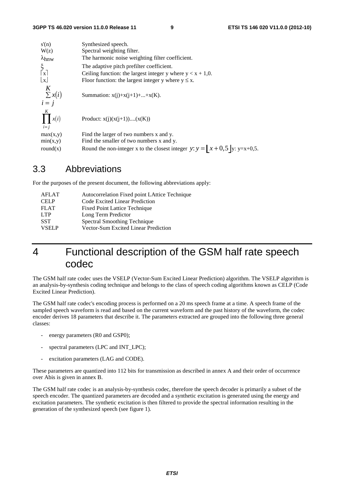| s'(n)                        | Synthesized speech.                                                           |
|------------------------------|-------------------------------------------------------------------------------|
| W(z)                         | Spectral weighting filter.                                                    |
| $\lambda$ <sub>hnw</sub>     | The harmonic noise weighting filter coefficient.                              |
| $\frac{\xi}{ x }$            | The adaptive pitch prefilter coefficient.                                     |
|                              | Ceiling function: the largest integer y where $y < x + 1,0$ .                 |
| $\lfloor x \rfloor$          | Floor function: the largest integer y where $y \le x$ .                       |
| K<br>$\sum x(i)$<br>$i = j$  | Summation: $x(i)+x(i+1)++x(K)$ .                                              |
| K<br>$\prod x(i)$<br>$i = j$ | Product: $x(j)(x(j+1))(x(K))$                                                 |
| max(x,y)                     | Find the larger of two numbers x and y.                                       |
| min(x,y)                     | Find the smaller of two numbers x and y.                                      |
| round $(x)$                  | Round the non-integer x to the closest integer y: $y =  x + 0.5 $ y: y=x+0.5. |

## 3.3 Abbreviations

For the purposes of the present document, the following abbreviations apply:

| AFLAT        | Autocorrelation Fixed point LAttice Technique |
|--------------|-----------------------------------------------|
| CELP         | Code Excited Linear Prediction                |
| <b>FLAT</b>  | <b>Fixed Point Lattice Technique</b>          |
| LTP          | Long Term Predictor                           |
| <b>SST</b>   | <b>Spectral Smoothing Technique</b>           |
| <b>VSELP</b> | Vector-Sum Excited Linear Prediction          |

## 4 Functional description of the GSM half rate speech codec

The GSM half rate codec uses the VSELP (Vector-Sum Excited Linear Prediction) algorithm. The VSELP algorithm is an analysis-by-synthesis coding technique and belongs to the class of speech coding algorithms known as CELP (Code Excited Linear Prediction).

The GSM half rate codec's encoding process is performed on a 20 ms speech frame at a time. A speech frame of the sampled speech waveform is read and based on the current waveform and the past history of the waveform, the codec encoder derives 18 parameters that describe it. The parameters extracted are grouped into the following three general classes:

- energy parameters (R0 and GSP0);
- spectral parameters (LPC and INT\_LPC);
- excitation parameters (LAG and CODE).

These parameters are quantized into 112 bits for transmission as described in annex A and their order of occurrence over Abis is given in annex B.

The GSM half rate codec is an analysis-by-synthesis codec, therefore the speech decoder is primarily a subset of the speech encoder. The quantized parameters are decoded and a synthetic excitation is generated using the energy and excitation parameters. The synthetic excitation is then filtered to provide the spectral information resulting in the generation of the synthesized speech (see figure 1).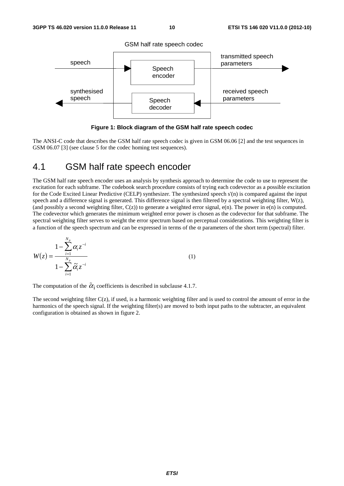

**Figure 1: Block diagram of the GSM half rate speech codec** 

The ANSI-C code that describes the GSM half rate speech codec is given in GSM 06.06 [2] and the test sequences in GSM 06.07 [3] (see clause 5 for the codec homing test sequences).

## 4.1 GSM half rate speech encoder

The GSM half rate speech encoder uses an analysis by synthesis approach to determine the code to use to represent the excitation for each subframe. The codebook search procedure consists of trying each codevector as a possible excitation for the Code Excited Linear Predictive (CELP) synthesizer. The synthesized speech s'(n) is compared against the input speech and a difference signal is generated. This difference signal is then filtered by a spectral weighting filter,  $W(z)$ , (and possibly a second weighting filter,  $C(z)$ ) to generate a weighted error signal,  $e(n)$ . The power in  $e(n)$  is computed. The codevector which generates the minimum weighted error power is chosen as the codevector for that subframe. The spectral weighting filter serves to weight the error spectrum based on perceptual considerations. This weighting filter is a function of the speech spectrum and can be expressed in terms of the  $\alpha$  parameters of the short term (spectral) filter.

$$
W(z) = \frac{1 - \sum_{i=1}^{N_p} \alpha_i z^{-i}}{1 - \sum_{i=1}^{N_p} \tilde{\alpha}_i z^{-i}}
$$
(1)

The computation of the  $\tilde{\alpha}_i$  coefficients is described in subclause 4.1.7.

The second weighting filter  $C(z)$ , if used, is a harmonic weighting filter and is used to control the amount of error in the harmonics of the speech signal. If the weighting filter(s) are moved to both input paths to the subtracter, an equivalent configuration is obtained as shown in figure 2.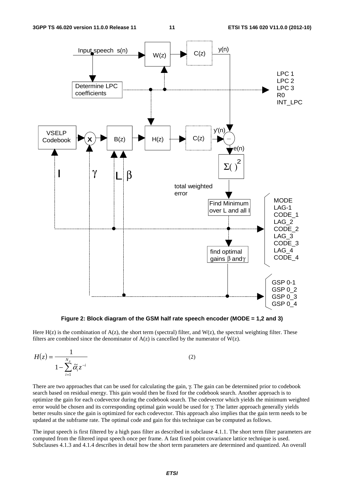

**Figure 2: Block diagram of the GSM half rate speech encoder (MODE = 1,2 and 3)** 

Here  $H(z)$  is the combination of  $A(z)$ , the short term (spectral) filter, and  $W(z)$ , the spectral weighting filter. These filters are combined since the denominator of  $A(z)$  is cancelled by the numerator of  $W(z)$ .

$$
H(z) = \frac{1}{1 - \sum_{i=1}^{N_p} \widetilde{\alpha}_i z^{-i}}
$$
 (2)

There are two approaches that can be used for calculating the gain, γ. The gain can be determined prior to codebook search based on residual energy. This gain would then be fixed for the codebook search. Another approach is to optimize the gain for each codevector during the codebook search. The codevector which yields the minimum weighted error would be chosen and its corresponding optimal gain would be used for γ. The latter approach generally yields better results since the gain is optimized for each codevector. This approach also implies that the gain term needs to be updated at the subframe rate. The optimal code and gain for this technique can be computed as follows.

The input speech is first filtered by a high pass filter as described in subclause 4.1.1. The short term filter parameters are computed from the filtered input speech once per frame. A fast fixed point covariance lattice technique is used. Subclauses 4.1.3 and 4.1.4 describes in detail how the short term parameters are determined and quantized. An overall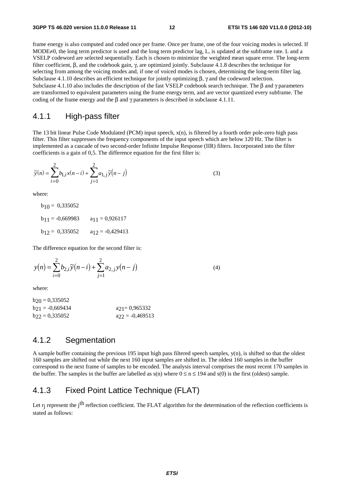frame energy is also computed and coded once per frame. Once per frame, one of the four voicing modes is selected. If MODE≠0, the long term predictor is used and the long term predictor lag, L, is updated at the subframe rate. L and a VSELP codeword are selected sequentially. Each is chosen to minimize the weighted mean square error. The long-term filter coefficient, β, and the codebook gain, γ, are optimized jointly. Subclause 4.1.8 describes the technique for selecting from among the voicing modes and, if one of voiced modes is chosen, determining the long-term filter lag. Subclause 4.1.10 describes an efficient technique for jointly optimizing  $\beta$ ,  $\gamma$  and the codeword selection. Subclause 4.1.10 also includes the description of the fast VSELP codebook search technique. The β and γ parameters are transformed to equivalent parameters using the frame energy term, and are vector quantized every subframe. The coding of the frame energy and the  $\beta$  and  $\gamma$  parameters is described in subclause 4.1.11.

#### 4.1.1 High-pass filter

The 13 bit linear Pulse Code Modulated (PCM) input speech,  $x(n)$ , is filtered by a fourth order pole-zero high pass filter. This filter suppresses the frequency components of the input speech which are below 120 Hz. The filter is implemented as a cascade of two second-order Infinite Impulse Response (IIR) filters. Incorporated into the filter coefficients is a gain of 0,5. The difference equation for the first filter is:

$$
\tilde{y}(n) = \sum_{i=0}^{2} b_{1,i} x(n-i) + \sum_{j=1}^{2} a_{1,j} \tilde{y}(n-j)
$$
\n(3)

where:

 $b_{10} = 0,335052$  $b_{11} = -0,669983$   $a_{11} = 0,926117$  $b_{12} = 0,335052$  a<sub>12</sub> = -0,429413

The difference equation for the second filter is:

$$
y(n) = \sum_{i=0}^{2} b_{2,i} \tilde{y}(n-i) + \sum_{j=1}^{2} a_{2,j} y(n-j)
$$
 (4)

where:

 $b_{20} = 0,335052$  $b_{21} = -0,669434$   $a_{21} = 0,965332$  $b_{22} = 0,335052$   $a_{22} = -0,469513$ 

#### 4.1.2 Segmentation

A sample buffer containing the previous 195 input high pass filtered speech samples, y(n), is shifted so that the oldest 160 samples are shifted out while the next 160 input samples are shifted in. The oldest 160 samples in the buffer correspond to the next frame of samples to be encoded. The analysis interval comprises the most recent 170 samples in the buffer. The samples in the buffer are labelled as  $s(n)$  where  $0 \le n \le 194$  and  $s(0)$  is the first (oldest) sample.

## 4.1.3 Fixed Point Lattice Technique (FLAT)

Let  $r_i$  represent the j<sup>th</sup> reflection coefficient. The FLAT algorithm for the determination of the reflection coefficients is stated as follows: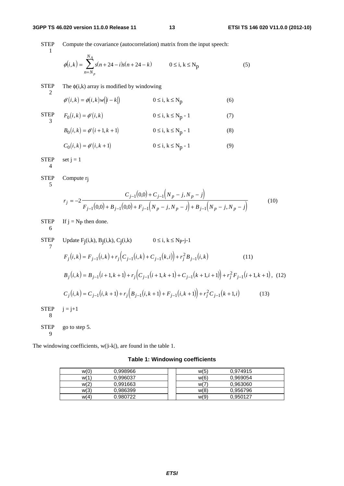**STEP** 1 Compute the covariance (autocorrelation) matrix from the input speech:  $\phi(i,k) = \sum s(n+24-i)s(n+24-k)$ *n N N A p*  $(k) = \sum s(n+24-i)s(n+24-i)$ =  $\sum_{k=1}^{n} s(n+24-i)s(n+24-k)$   $0 \le i, k \le N_p$  (5) **STEP** 2 The  $\phi(i,k)$  array is modified by windowing  $\phi'(i, k) = \phi(i, k) w(|i - k|)$   $0 \le i, k \le N_p$  (6) STEP 3  $F_0(i,k) = \phi'(i,k)$   $0 \le i, k \le N_p - 1$  (7)  $B_0(i,k) = \phi'(i+1,k+1)$   $0 \le i, k \le N_p - 1$  (8)  $C_0(i,k) = \phi'(i, k+1)$   $0 \le i, k \le N_p - 1$  (9) STEP 4 set  $j = 1$ **STEP** 5 Compute rj  $(0,0)$  + C<sub>i-1</sub>  $(N_p - j, N_p - j)$  $r_j = -2 \frac{1}{F_{j-1}(0,0) + B_{j-1}(0,0) + F_{j-1}(N_p - j, N_p - j) + B_{j-1}(N_p - j, N_p - j)}$  $C_{i-1}(0,0) + C_{i-1}(N_n - j, N_n - j)$  $F_j = -2 \frac{F_{j-1}(0,0) + B_{j-1}(0,0) + F_{j-1}(N_n - j, N_n - j)}{F_{j-1}(0,0) + F_{j-1}(N_n - j, N_n - j)}$  $j-1$ (0,0) + C  $j-1$ (*N*  $p = J, N p$  $j-1$ (0,0) + **D**<sub>j-1</sub>(0,0) + **r**<sub>j-1</sub>(N<sub>p</sub> - J, N<sub>p</sub> - J) + **D**<sub>j-1</sub>(N<sub>p</sub> - J, N<sub>p</sub> = −  $+ C_{i-1} \big| N_n - j, N_n + B_{i-1}(0,0) + F_{i-1}(N_n - j, N_n - j) + B_{i-1}(N_n - j, N_n - j)$  $_{-1}$ (0,0) + C<sub>j-</sub>  $-1(0,0) + B_{j-1}(0,0) + F_{j-1}(N_p - J, N_p - J) + B_{j-1}$ 2  $_{0,0}$  $(0,0) + B_{i-1}(0,0)$  $1(0,0) + C_{j-1}$  $1(0,0) + D_{j-1}(0,0) + F_{j-1}(N_p - J, N_p - J) + D_{j-1}$  $(0) + C_{i-1} (N_p - j,$  $(0,0) + B_{i-1}(0,0) + F_{i-1}(N_p - j, N_p - j) + B_{i-1}(N_p - j,$  (10) STEP 6 If  $j = N_P$  then done. STEP Update  $F_j(i,k)$ ,  $B_j(i,k)$ ,  $C_j(i,k)$   $0 \le i, k \le Np-j-1$ 7  $F_j(i,k) = F_{j-1}(i,k) + r_j (C_{j-1}(i,k) + C_{j-1}(k,i)) + r_j^2 B_{j-1}(i,k)$  (11)  $B_j(i,k) = B_{j-1}(i+1,k+1) + r_j(C_{j-1}(i+1,k+1) + C_{j-1}(k+1,i+1)) + r_j^2 F_{j-1}(i+1,k+1),$  (12)  $C_j(i,k) = C_{j-1}(i,k+1) + r_j(B_{j-1}(i,k+1) + F_{j-1}(i,k+1)) + r_j^2C_{j-1}(k+1,i)$  (13) STEP 8  $i = i+1$ **STEP** 9 go to step 5.

The windowing coefficients, w(|i-k|), are found in the table 1.

**Table 1: Windowing coefficients** 

| w(0) | 0.998966 | w(5)<br>0.974915 |
|------|----------|------------------|
| W(1) | 0.996037 | w(6)<br>0.969054 |
| w(2) | 0.991663 | w(7)<br>0.963060 |
| w(3) | 0.986399 | w(8)<br>0.956796 |
| w(4) | 0.980722 | w(9)<br>0.950127 |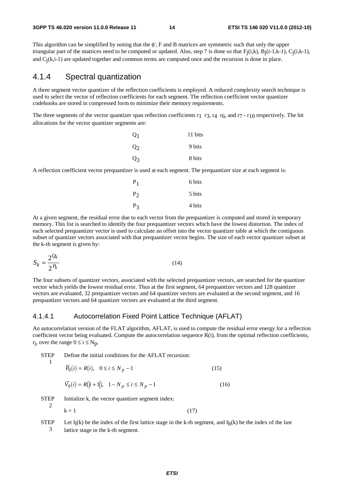This algorithm can be simplified by noting that the φ', F and B matrices are symmetric such that only the upper triangular part of the matrices need to be computed or updated. Also, step 7 is done so that  $F_i(i,k)$ ,  $B_i(i-1,k-1)$ ,  $C_i(i,k-1)$ , and  $C<sub>i</sub>(k,i-1)$  are updated together and common terms are computed once and the recursion is done in place.

#### 4.1.4 Spectral quantization

A three segment vector quantizer of the reflection coefficients is employed. A reduced complexity search technique is used to select the vector of reflection coefficients for each segment. The reflection coefficient vector quantizer codebooks are stored in compressed form to minimize their memory requirements.

The three segments of the vector quantizer span reflection coefficients  $r_1$  r<sub>3</sub>,  $r_4$  r<sub>6</sub>, and  $r_7$  -  $r_{10}$  respectively. The bit allocations for the vector quantizer segments are:

| Q <sub>1</sub> | 11 bits |
|----------------|---------|
| Q <sub>2</sub> | 9 bits  |
| $Q_3$          | 8 bits  |

A reflection coefficient vector prequantizer is used at each segment. The prequantizer size at each segment is:

| $P_1$ | 6 bits |
|-------|--------|
| $P_2$ | 5 bits |
| $P_3$ | 4 bits |

At a given segment, the residual error due to each vector from the prequantizer is computed and stored in temporary memory. This list is searched to identify the four prequantizer vectors which have the lowest distortion. The index of each selected prequantizer vector is used to calculate an offset into the vector quantizer table at which the contiguous subset of quantizer vectors associated with that prequantizer vector begins. The size of each vector quantizer subset at the k-th segment is given by:

$$
S_k = \frac{2^{Q_k}}{2^{P_k}}\tag{14}
$$

The four subsets of quantizer vectors, associated with the selected prequantizer vectors, are searched for the quantizer vector which yields the lowest residual error. Thus at the first segment, 64 prequantizer vectors and 128 quantizer vectors are evaluated, 32 prequantizer vectors and 64 quantizer vectors are evaluated at the second segment, and 16 prequantizer vectors and 64 quantizer vectors are evaluated at the third segment.

#### 4.1.4.1 Autocorrelation Fixed Point Lattice Technique (AFLAT)

An autocorrelation version of the FLAT algorithm, AFLAT, is used to compute the residual error energy for a reflection coefficient vector being evaluated. Compute the autocorrelation sequence R(i), from the optimal reflection coefficients,  $r_i$ , over the range  $0 \le i \le N_p$ .

**STEP** Define the initial conditions for the AFLAT recursion:

$$
1 -
$$

$$
\overline{P}_0(i) = R(i), \quad 0 \le i \le N_p - 1 \tag{15}
$$

$$
\overline{V}_0(i) = R(|i+1|), \quad 1 - N_p \le i \le N_p - 1 \tag{16}
$$

STEP

\nInitialize k, the vector quantizer segment index:

\n
$$
k = 1
$$
\n(17)

**STEP** 3 Let  $I_l(k)$  be the index of the first lattice stage in the k-th segment, and  $I_l(k)$  be the index of the last lattice stage in the k-th segment.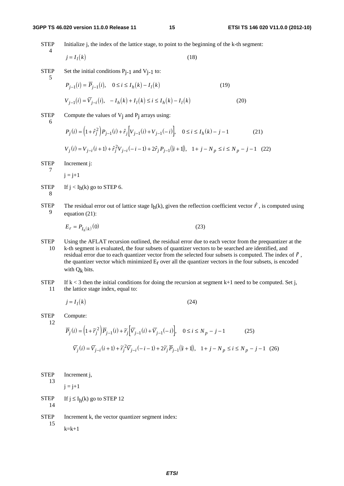#### **3GPP TS 46.020 version 11.0.0 Release 11 15 ETSI TS 146 020 V11.0.0 (2012-10)**

**STEP** Initialize j, the index of the lattice stage, to point to the beginning of the k-th segment:

$$
j = I_l(k) \tag{18}
$$

STEP Set the initial conditions  $P_{j-1}$  and  $V_{j-1}$  to:

$$
P_{j-1}(i) = \overline{P}_{j-1}(i), \quad 0 \le i \le I_h(k) - I_l(k)
$$
(19)  

$$
V_{j-1}(i) = \overline{V}_{j-i}(i), \quad -I_h(k) + I_l(k) \le i \le I_h(k) - I_l(k)
$$
(20)

STEP 6

7

4

5

Compute the values of  $V_i$  and  $P_i$  arrays using:

$$
P_j(i) = \left(1 + \hat{r}_j^2\right) P_{j-1}(i) + \hat{r}_j \left[V_{j-1}(i) + V_{j-1}(-i)\right], \quad 0 \le i \le I_h(k) - j - 1 \tag{21}
$$

$$
P_j(i) = (1 + \hat{r}_j^2) P_{j-1}(i) + \hat{r}_j [V_{j-1}(i) + V_{j-1}(-i)], \quad 0 \le i \le I_h(k) - j - 1
$$
\n
$$
V_j(i) = V_{j-i}(i+1) + \hat{r}_j^2 V_{j-i}(-i-1) + 2\hat{r}_j P_{j-1}(|i+1|), \quad 1 + j - N_p \le i \le N_p - j - 1 \quad (22)
$$
\nIncrement j:

**STEP** Increment j:

 $j = j+1$ 

- **STEP** 8 If  $j < I_h(k)$  go to STEP 6.
- **STEP** 9 The residual error out of lattice stage I<sub>h</sub>(k), given the reflection coefficient vector  $\hat{r}$ , is computed using equation (21):

$$
E_r = P_{I_h(k)}(0)
$$
 (23)

- STEP 10 Using the AFLAT recursion outlined, the residual error due to each vector from the prequantizer at the k-th segment is evaluated, the four subsets of quantizer vectors to be searched are identified, and residual error due to each quantizer vector from the selected four subsets is computed. The index of *r* $\begin{bmatrix} \tilde{r} \\ 1 \end{bmatrix}$ the quantizer vector which minimized Er over all the quantizer vectors in the four subsets, is encoded with  $Q_k$  bits.
- **STEP** 11 If  $k < 3$  then the initial conditions for doing the recursion at segment  $k+1$  need to be computed. Set j, the lattice stage index, equal to:

$$
j = I_l(k) \tag{24}
$$

STEP Compute:

12

$$
\overline{P}_j(i) = \left(1 + \tilde{r}_j^2\right) \overline{P}_{j-1}(i) + \tilde{r}_j \left[\overline{V}_{j-1}(i) + \overline{V}_{j-1}(-i)\right], \quad 0 \le i \le N_p - j - 1 \tag{25}
$$
\n
$$
\overline{V}_j(i) = \overline{V}_{j-i}(i+1) + \tilde{r}_j^2 \overline{V}_{j-i}(-i-1) + 2\tilde{r}_j \overline{P}_{j-1}(|i+1|), \quad 1 + j - N_p \le i \le N_p - j - 1 \tag{26}
$$

| STEP       | Increment j,                                     |
|------------|--------------------------------------------------|
| 13         | $j = j+1$                                        |
| STEP<br>14 | If $j \leq I_h(k)$ go to STEP 12                 |
| STEP<br>15 | Increment k, the vector quantizer segment index: |

 $k=k+1$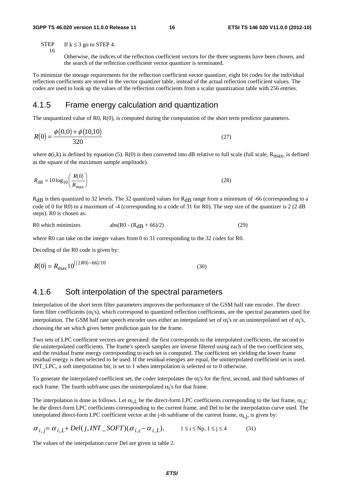**STEP** 16 If  $k \leq 3$  go to STEP 4.

> Otherwise, the indices of the reflection coefficient vectors for the three segments have been chosen, and the search of the reflection coefficient vector quantizer is terminated.

To minimize the storage requirements for the reflection coefficient vector quantizer, eight bit codes for the individual reflection coefficients are stored in the vector quantizer table, instead of the actual reflection coefficient values. The codes are used to look up the values of the reflection coefficients from a scalar quantization table with 256 entries.

#### 4.1.5 Frame energy calculation and quantization

The unquantized value of R0, R(0), is computed during the computation of the short term predictor parameters.

$$
R(0) = \frac{\phi(0,0) + \phi(10,10)}{320}
$$
 (27)

where  $\phi(i,k)$  is defined by equation (5). R(0) is then converted into dB relative to full scale (full scale, R<sub>max</sub>, is defined as the square of the maximum sample amplitude).

$$
R_{dB} = 10\log_{10}\left(\frac{R(0)}{R_{\text{max}}}\right) \tag{28}
$$

 $R<sub>dB</sub>$  is then quantized to 32 levels. The 32 quantized values for  $R<sub>dB</sub>$  range from a minimum of -66 (corresponding to a code of 0 for R0) to a maximum of -4 (corresponding to a code of 31 for R0). The step size of the quantizer is 2 (2 dB steps). R0 is chosen as:

R0 which minimizes  $abs(R0 - (R<sub>d</sub>B + 66)/2)$  (29)

where R0 can take on the integer values from 0 to 31 corresponding to the 32 codes for R0.

Decoding of the R0 code is given by:

$$
R(0) = R_{\text{max}} 10^{((2R0) - 66)/10}
$$
 (30)

#### 4.1.6 Soft interpolation of the spectral parameters

Interpolation of the short term filter parameters improves the performance of the GSM half rate encoder. The direct form filter coefficients  $(\alpha_i's)$ , which correspond to quantized reflection coefficients, are the spectral parameters used for interpolation. The GSM half rate speech encoder uses either an interpolated set of  $\alpha_i$ 's or an uninterpolated set of  $\alpha_i$ 's, choosing the set which gives better prediction gain for the frame.

Two sets of LPC coefficient vectors are generated: the first corresponds to the interpolated coefficients, the second to the uninterpolated coefficients. The frame's speech samples are inverse filtered using each of the two coefficient sets, and the residual frame energy corresponding to each set is computed. The coefficient set yielding the lower frame residual energy is then selected to be used. If the residual energies are equal, the uninterpolated coefficient set is used. INT\_LPC, a soft interpolation bit, is set to 1 when interpolation is selected or to 0 otherwise.

To generate the interpolated coefficient set, the coder interpolates the  $\alpha_i$ 's for the first, second, and third subframes of each frame. The fourth subframe uses the uninterpolated  $\alpha_i$ 's for that frame.

The interpolation is done as follows. Let  $\alpha_{i,L}$  be the direct-form LPC coefficients corresponding to the last frame,  $\alpha_{i,C}$ be the direct-form LPC coefficients corresponding to the current frame, and Del to be the interpolation curve used. The interpolated direct-form LPC coefficient vector at the j-th subframe of the current frame,  $\alpha_{i,j}$ , is given by:

$$
\alpha_{i,j} = \alpha_{i,L} + Del(j, INT\_SOFT)(\alpha_{i,c} - \alpha_{i,L}), \qquad 1 \le i \le Np, 1 \le j \le 4
$$
 (31)

The values of the interpolation curve Del are given in table 2.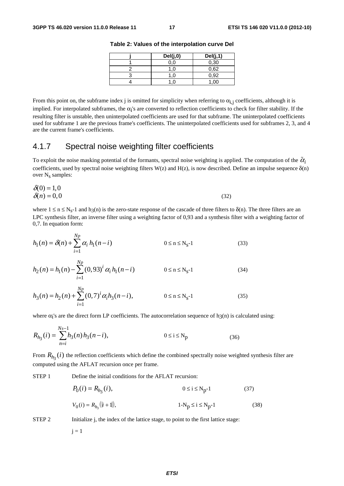| Del(j,0) | Del(j,1) |
|----------|----------|
| 0.0      | 0,30     |
|          | 0,62     |
|          | 0,92     |
|          | .00      |

**Table 2: Values of the interpolation curve Del** 

From this point on, the subframe index j is omitted for simplicity when referring to  $\alpha_{i,j}$  coefficients, although it is implied. For interpolated subframes, the  $\alpha_i$ 's are converted to reflection coefficients to check for filter stability. If the resulting filter is unstable, then uninterpolated coefficients are used for that subframe. The uninterpolated coefficients used for subframe 1 are the previous frame's coefficients. The uninterpolated coefficients used for subframes 2, 3, and 4 are the current frame's coefficients.

## 4.1.7 Spectral noise weighting filter coefficients

To exploit the noise masking potential of the formants, spectral noise weighting is applied. The computation of the  $\tilde{\alpha}_i$ coefficients, used by spectral noise weighting filters W(z) and H(z), is now described. Define an impulse sequence  $\delta(n)$ over  $N_s$  samples:

$$
\delta(0) = 1,0
$$
  
\n
$$
\delta(n) = 0,0
$$
\n(32)

where  $1 \le n \le N_s-1$  and  $h_3(n)$  is the zero-state response of the cascade of three filters to  $\delta(n)$ . The three filters are an LPC synthesis filter, an inverse filter using a weighting factor of 0,93 and a synthesis filter with a weighting factor of 0,7. In equation form:

$$
h_1(n) = \delta(n) + \sum_{i=1}^{Np} \alpha_i h_1(n-i)
$$
 0 \le n \le N<sub>s</sub>-1 (33)

$$
h_2(n) = h_1(n) - \sum_{i=1}^{1} (0.93)^i \alpha_i h_1(n-i) \qquad 0 \le n \le N_S - 1 \qquad (34)
$$

$$
h_3(n) = h_2(n) + \sum_{i=1}^{N_p} (0,7)^i \alpha_i h_3(n-i), \qquad 0 \le n \le N_s - 1 \qquad (35)
$$

where  $\alpha_i$ 's are the direct form LP coefficients. The autocorrelation sequence of h3(n) is calculated using:

$$
R_{h_3}(i) = \sum_{n=i}^{N_s-1} h_3(n) h_3(n-i), \qquad 0 \le i \le N_p \qquad (36)
$$

From  $R_{h_3}(i)$  the reflection coefficients which define the combined spectrally noise weighted synthesis filter are computed using the AFLAT recursion once per frame.

STEP 1 Define the initial conditions for the AFLAT recursion:

$$
P_0(i) = R_{h_3}(i), \t 0 \le i \le N_p - 1 \t (37)
$$
  

$$
V_0(i) = R_{h_3}(i + 1), \t 1 - N_p \le i \le N_p - 1 \t (38)
$$

STEP 2 Initialize j, the index of the lattice stage, to point to the first lattice stage:

 $j = 1$ 

*Np*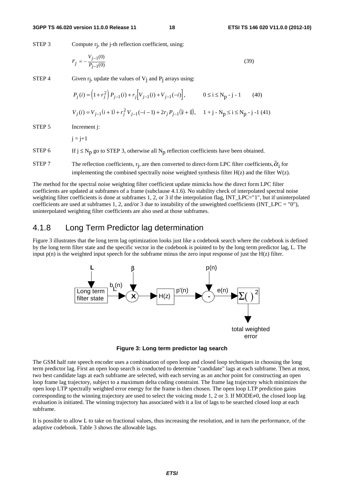STEP 3 Compute r<sub>j</sub>, the j-th reflection coefficient, using:

$$
r_j = -\frac{V_{j-1}(0)}{P_{j-1}(0)}\tag{39}
$$

STEP 4 Given  $r_i$ , update the values of  $V_i$  and  $P_i$  arrays using:

$$
P_j(i) = (1 + r_j^2) P_{j-1}(i) + r_j [V_{j-1}(i) + V_{j-1}(-i)], \qquad 0 \le i \le N_p - j - 1 \qquad (40)
$$
  

$$
V_j(i) = V_{j-1}(i+1) + r_j^2 V_{j-1}(-i-1) + 2r_j P_{j-1}(|i+1|), \qquad 1 + j - N_p \le i \le N_p - j - 1 \qquad (41)
$$

STEP 5 Increment i:

 $j = j+1$ 

STEP 6 If  $j \le N_p$  go to STEP 3, otherwise all  $N_p$  reflection coefficients have been obtained.

STEP 7 The reflection coefficients,  $r_i$ , are then converted to direct-form LPC filter coefficients,  $\tilde{\alpha}_i$  for implementing the combined spectrally noise weighted synthesis filter  $H(z)$  and the filter  $W(z)$ .

The method for the spectral noise weighting filter coefficient update mimicks how the direct form LPC filter coefficients are updated at subframes of a frame (subclause 4.1.6). No stability check of interpolated spectral noise weighting filter coefficients is done at subframes 1, 2, or 3 if the interpolation flag, INT\_LPC="1", but if uninterpolated coefficients are used at subframes 1, 2, and/or 3 due to instability of the unweighted coefficients (INT\_LPC = "0"), uninterpolated weighting filter coefficients are also used at those subframes.

#### 4.1.8 Long Term Predictor lag determination

Figure 3 illustrates that the long term lag optimization looks just like a codebook search where the codebook is defined by the long term filter state and the specific vector in the codebook is pointed to by the long term predictor lag, L. The input  $p(n)$  is the weighted input speech for the subframe minus the zero input response of just the  $H(z)$  filter.



**Figure 3: Long term predictor lag search** 

The GSM half rate speech encoder uses a combination of open loop and closed loop techniques in choosing the long term predictor lag. First an open loop search is conducted to determine "candidate" lags at each subframe. Then at most, two best candidate lags at each subframe are selected, with each serving as an anchor point for constructing an open loop frame lag trajectory, subject to a maximum delta coding constraint. The frame lag trajectory which minimizes the open loop LTP spectrally weighted error energy for the frame is then chosen. The open loop LTP prediction gains corresponding to the winning trajectory are used to select the voicing mode 1, 2 or 3. If MODE≠0, the closed loop lag evaluation is initiated. The winning trajectory has associated with it a list of lags to be searched closed loop at each subframe.

It is possible to allow L to take on fractional values, thus increasing the resolution, and in turn the performance, of the adaptive codebook. Table 3 shows the allowable lags.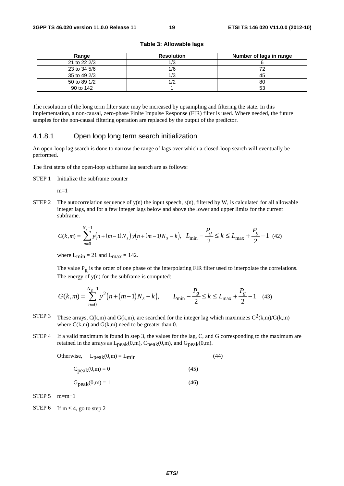#### **Table 3: Allowable lags**

| Range        | <b>Resolution</b> | Number of lags in range |
|--------------|-------------------|-------------------------|
| 21 to 22 2/3 | 1/3               |                         |
| 23 to 34 5/6 | 1/6               |                         |
| 35 to 49 2/3 |                   | 45                      |
| 50 to 89 1/2 |                   | 80                      |
| 90 to 142    |                   | 53                      |

The resolution of the long term filter state may be increased by upsampling and filtering the state. In this implementation, a non-causal, zero-phase Finite Impulse Response (FIR) filter is used. Where needed, the future samples for the non-causal filtering operation are replaced by the output of the predictor.

#### 4.1.8.1 Open loop long term search initialization

An open-loop lag search is done to narrow the range of lags over which a closed-loop search will eventually be performed.

The first steps of the open-loop subframe lag search are as follows:

STEP 1 Initialize the subframe counter

 $m=1$ 

STEP 2 The autocorrelation sequence of  $y(n)$  the input speech,  $s(n)$ , filtered by W, is calculated for all allowable integer lags, and for a few integer lags below and above the lower and upper limits for the current subframe.

$$
C(k,m) = \sum_{n=0}^{N_s - 1} y(n + (m-1)N_s) y(n + (m-1)N_s - k), \quad L_{\min} - \frac{P_g}{2} \le k \le L_{\max} + \frac{P_g}{2} - 1 \tag{42}
$$

where  $L_{\text{min}} = 21$  and  $L_{\text{max}} = 142$ .

The value  $P_{\sigma}$  is the order of one phase of the interpolating FIR filter used to interpolate the correlations. The energy of  $y(n)$  for the subframe is computed:

$$
G(k,m) = \sum_{n=0}^{N_s - 1} y^2 \Big( n + (m-1)N_s - k \Big), \qquad L_{\min} - \frac{P_g}{2} \le k \le L_{\max} + \frac{P_g}{2} - 1 \quad (43)
$$

- STEP 3 These arrays,  $C(k,m)$  and  $G(k,m)$ , are searched for the integer lag which maximizes  $C^2(k,m)/G(k,m)$ where  $C(k,m)$  and  $G(k,m)$  need to be greater than 0.
- STEP 4 If a valid maximum is found in step 3, the values for the lag, C, and G corresponding to the maximum are retained in the arrays as  $L_{peak}(0,m)$ ,  $C_{peak}(0,m)$ , and  $G_{peak}(0,m)$ .

Otherwise, 
$$
L_{peak}(0,m) = L_{min}
$$
 (44)

$$
C_{\text{peak}}(0,m) = 0\tag{45}
$$

$$
Gpeak(0,m) = 1
$$
 (46)

 $STEP 5$  m=m+1

STEP 6 If  $m \leq 4$ , go to step 2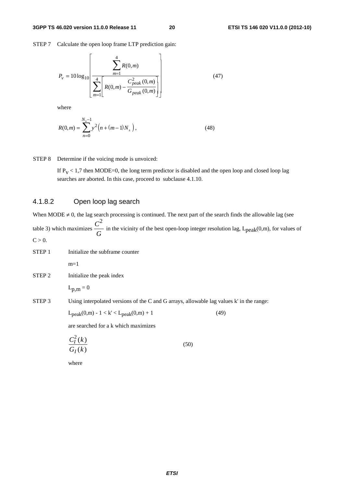STEP 7 Calculate the open loop frame LTP prediction gain:

$$
P_{v} = 10\log_{10}\left[\frac{\sum_{m=1}^{4}R(0,m)}{\sum_{m=1}^{4}\left[R(0,m) - \frac{C_{peak}^{2}(0,m)}{G_{peak}(0,m)}\right]}\right]
$$
(47)

where

$$
R(0,m) = \sum_{n=0}^{N_s - 1} y^2 \Big( n + (m - 1) N_s \Big), \tag{48}
$$

STEP 8 Determine if the voicing mode is unvoiced:

If  $P_V < 1.7$  then MODE=0, the long term predictor is disabled and the open loop and closed loop lag searches are aborted. In this case, proceed to subclause 4.1.10.

#### 4.1.8.2 Open loop lag search

When MODE  $\neq$  0, the lag search processing is continued. The next part of the search finds the allowable lag (see table 3) which maximizes *C G* 2 in the vicinity of the best open-loop integer resolution lag,  $L_{peak}(0,m)$ , for values of  $C > 0$ .

- STEP 1 Initialize the subframe counter  $m=1$
- STEP 2 Initialize the peak index

 $L_{p,m} = 0$ 

STEP 3 Using interpolated versions of the C and G arrays, allowable lag values k' in the range:

 $L_{peak}(0,m) - 1 < k' < L_{peak}(0,m) + 1$  (49)

are searched for a k which maximizes

$$
\frac{C_I^2(k)}{G_I(k)}\tag{50}
$$

where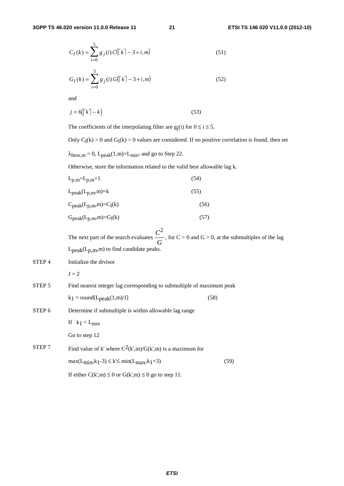$$
C_I(k) = \sum_{i=0}^{5} g_j(i) C(\lceil k \rceil - 3 + i, m)
$$
 (51)

$$
G_I(k) = \sum_{i=0}^{5} g_j(i) G(\lceil k \rceil - 3 + i, m)
$$
 (52)

and

$$
j = 6(\lceil k \rceil - k) \tag{53}
$$

The coefficients of the interpolating filter are  $g_i(i)$  for  $0 \le i \le 5$ .

Only  $C_I(k) > 0$  and  $G_I(k) > 0$  values are considered. If no positive correlation is found, then set

 $\lambda_{\text{hnw},m} = 0$ ,  $L_{\text{peak}}(1,m) = L_{\text{min}}$ , and go to Step 22.

Otherwise, store the information related to the valid best allowable lag k.

| $L_{p,m}=L_{p,m}+1$                                   |                 | (54) |
|-------------------------------------------------------|-----------------|------|
| $L_{peak}(L_{p,m},m)=k$                               |                 | (55) |
| $C_{\text{peak}}(L_{\text{p,m}},m) = C_{\text{I}}(k)$ |                 | (56) |
| $G_{peak}(L_{p,m},m)=G_{I}(k)$                        |                 | (57) |
|                                                       | $\mathcal{L}^2$ |      |

The next part of the search evaluates *C G* , for  $C > 0$  and  $G > 0$ , at the submultiples of the lag  $L_{peak}(L_{p,m},m)$  to find candidate peaks.

STEP 4 Initialize the divisor

 $J = 2$ 

STEP 5 Find nearest integer lag corresponding to submultiple of maximum peak

| $k_1$ = round[L <sub>peak</sub> (1,m)/J] | (58) |
|------------------------------------------|------|
|                                          |      |

STEP 6 Determine if submultiple is within allowable lag range

If  $k_1 < L_{min}$ 

Go to step 12

STEP 7 Find value of k' where  $C^2(k',m)/G(k',m)$  is a maximum for  $\max(L_{\min}, k_1 - 3) \le k \le \min(L_{\max}, k_1 + 3)$  (59) If either  $C(k', m) \le 0$  or  $G(k', m) \le 0$  go to step 11.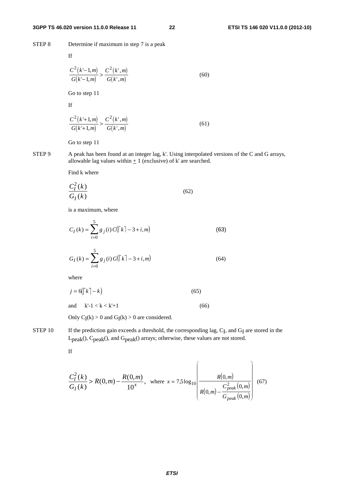STEP 8 Determine if maximum in step 7 is a peak

If

$$
\frac{C^2(k-1,m)}{G(k-1,m)} > \frac{C^2(k',m)}{G(k',m)}
$$
(60)

Go to step 11

If

$$
\frac{C^2(k+1,m)}{G(k+1,m)} > \frac{C^2(k^*,m)}{G(k^*,m)}
$$
(61)

Go to step 11

STEP 9 A peak has been found at an integer lag, k'. Using interpolated versions of the C and G arrays, allowable lag values within  $+1$  (exclusive) of k' are searched.

Find k where

$$
\frac{C_I^2(k)}{G_I(k)}\tag{62}
$$

is a maximum, where

$$
C_I(k) = \sum_{i=0}^{5} g_j(i) C(\lceil k \rceil - 3 + i, m)
$$
 (63)

$$
G_I(k) = \sum_{i=0}^{5} g_j(i) G(\lceil k \rceil - 3 + i, m)
$$
 (64)

where

$$
j = 6(\lceil k \rceil - k) \tag{65}
$$

and  $k'-1 < k < k'+1$  (66)

Only  $C_I(k) > 0$  and  $G_I(k) > 0$  are considered.

STEP 10 If the prediction gain exceeds a threshold, the corresponding lag, C<sub>I</sub>, and G<sub>I</sub> are stored in the L<sub>peak</sub>(), C<sub>peak</sub>(), and G<sub>peak</sub>() arrays; otherwise, these values are not stored.

If

$$
\frac{C_I^2(k)}{G_I(k)} > R(0,m) - \frac{R(0,m)}{10^x}, \text{ where } x = 7,5 \log_{10} \left( \frac{R(0,m)}{R(0,m) - \frac{C_{peak}^2(0,m)}{G_{peak}(0,m)}} \right) \tag{67}
$$

 $\overline{a}$ 

⎠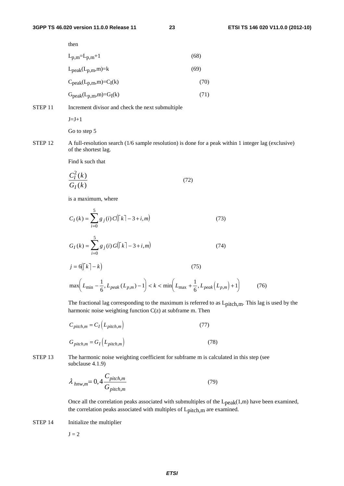then

|                    | $L_{p,m}=L_{p,m}+1$                              | (68) |
|--------------------|--------------------------------------------------|------|
|                    | $L_{peak}(L_{p,m},m)=k$                          | (69) |
|                    | $C_{\text{peak}}(L_{p,m},m) = C_{I}(k)$          | (70) |
|                    | $Gpeak(Lp,m,m)=GI(k)$                            | (71) |
| STEP <sub>11</sub> | Increment divisor and check the next submultiple |      |

 $J=J+1$ 

Go to step 5

STEP 12 A full-resolution search (1/6 sample resolution) is done for a peak within 1 integer lag (exclusive) of the shortest lag.

Find k such that

$$
\frac{C_I^2(k)}{G_I(k)}\tag{72}
$$

is a maximum, where

$$
C_{I}(k) = \sum_{i=0}^{5} g_{j}(i) C(\lceil k \rceil - 3 + i, m)
$$
(73)  

$$
G_{I}(k) = \sum_{i=0}^{5} g_{j}(i) G(\lceil k \rceil - 3 + i, m)
$$
(74)  

$$
j = 6(\lceil k \rceil - k)
$$
(75)  

$$
\max \left( L_{\min} - \frac{1}{6}, L_{\text{peak}} (L_{p,m}) - 1 \right) < k < \min \left( L_{\max} + \frac{1}{6}, L_{\text{peak}} (L_{p,m}) + 1 \right)
$$
(76)

The fractional lag corresponding to the maximum is referred to as Lpitch,m. This lag is used by the harmonic noise weighting function  $C(z)$  at subframe m. Then

$$
C_{pitch,m} = C_I (L_{pitch,m})
$$
\n
$$
G_{pitch,m} = G_I (L_{pitch,m})
$$
\n(77)

STEP 13 The harmonic noise weighting coefficient for subframe m is calculated in this step (see subclause 4.1.9)

$$
\lambda_{h n w, m} = 0, 4 \frac{C_{pitch,m}}{G_{pitch,m}}
$$
\n(79)

Once all the correlation peaks associated with submultiples of the  $L_{peak}(1,m)$  have been examined, the correlation peaks associated with multiples of L<sub>pitch,m</sub> are examined.

STEP 14 Initialize the multiplier

 $J = 2$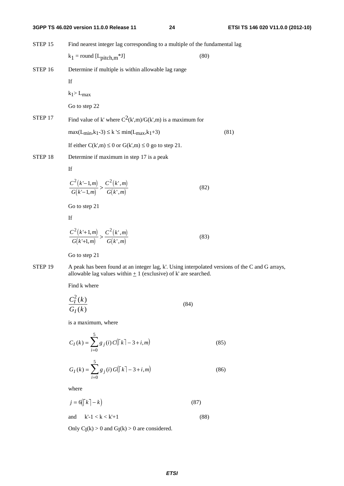STEP 15 Find nearest integer lag corresponding to a multiple of the fundamental lag  $k_1$  = round [L<sub>pitch,m</sub>\*J] (80) STEP 16 Determine if multiple is within allowable lag range If  $k_1$ > L<sub>max</sub> Go to step 22 STEP 17 Find value of k' where  $C^2(k,m)/G(k',m)$  is a maximum for  $\max(L_{\min}, k_1 - 3) \le k \le \min(L_{\max}, k_1 + 3)$  (81) If either  $C(k', m) \le 0$  or  $G(k', m) \le 0$  go to step 21. STEP 18 Determine if maximum in step 17 is a peak If  $(k'-1,m)$  $(k-1,m)$  $(k',m)$  $(k',m)$  $C^{2}(k-1,m)$  $G(k'-1,m)$  $C<sup>2</sup>(k',m$ *Gk m*  $2(k-1,m)$   $C^2$ 1  $-1,$  $-1,$ ', ',  $\frac{(-1,m)}{-1,m} > \frac{C^2(k',m)}{G(k',m)}$  (82) Go to step 21 If  $(k'+1,m)$  $(k'+1,m)$  $(k',m)$  $(k',m)$  $C^{2}(k+1,m)$  $G(k'+1,m)$  $C<sup>2</sup>(k',m$ *Gk m*  $2(k+1,m)$   $C^2$ 1  $'+1,$ '+1, ', ', +  $+\frac{1}{2}, \frac{1}{m}$  >  $\frac{C^{(k)}, m}{G(k', m)}$  (83) Go to step 21 STEP 19 A peak has been found at an integer lag, k'. Using interpolated versions of the C and G arrays, allowable lag values within  $\pm$  1 (exclusive) of k' are searched.

Find k where

$$
\frac{C_I^2(k)}{G_I(k)}\tag{84}
$$

is a maximum, where

$$
C_I(k) = \sum_{i=0}^{5} g_j(i) C(\lceil k \rceil - 3 + i, m)
$$
 (85)

$$
G_I(k) = \sum_{i=0}^{5} g_j(i) G(\lceil k \rceil - 3 + i, m)
$$
 (86)

where

$$
j = 6(\lceil k \rceil - k) \tag{87}
$$
  
and 
$$
k \rceil - 1 < k < k' + 1 \tag{88}
$$

Only  $C_I(k) > 0$  and  $G_I(k) > 0$  are considered.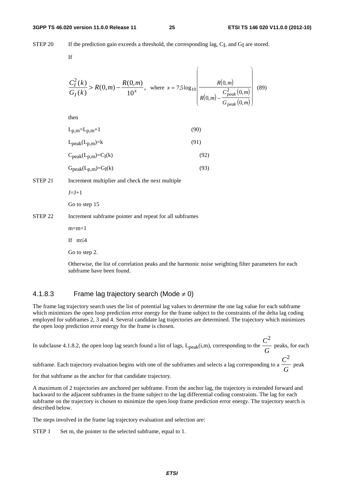STEP 20 If the prediction gain exceeds a threshold, the corresponding lag, C<sub>I</sub>, and G<sub>I</sub> are stored.

If

$$
\frac{C_I^2(k)}{G_I(k)} > R(0,m) - \frac{R(0,m)}{10^x}, \text{ where } x = 7,5 \log_{10} \left( \frac{R(0,m)}{R(0,m) - \frac{C_{peak}^2(0,m)}{G_{peak}(0,m)}} \right) \tag{89}
$$

then

| $L_{p,m} = L_{p,m} + 1$                           | (90) |
|---------------------------------------------------|------|
| $L_{\rm peak}(L_{\rm p,m})=k$                     | (91) |
| $C_{\text{peak}}(L_{\text{p,m}})=C_{\text{I}}(k)$ | (92) |

 $G<sub>peak</sub>(L<sub>p,m</sub>) = G<sub>I</sub>(k)$  (93)

STEP 21 Increment multiplier and check the next multiple

 $J=J+1$ 

Go to step 15

#### STEP 22 Increment subframe pointer and repeat for all subframes

 $m=m+1$ 

If m≤4

Go to step 2.

Otherwise, the list of correlation peaks and the harmonic noise weighting filter parameters for each subframe have been found.

#### 4.1.8.3 Frame lag trajectory search (Mode  $\neq$  0)

The frame lag trajectory search uses the list of potential lag values to determine the one lag value for each subframe which minimizes the open loop prediction error energy for the frame subject to the constraints of the delta lag coding employed for subframes 2, 3 and 4. Several candidate lag trajectories are determined. The trajectory which minimizes the open loop prediction error energy for the frame is chosen.

In subclause 4.1.8.2, the open loop lag search found a list of lags,  $L_{peak}(i,m)$ , corresponding to the *C G* 2 peaks, for each 2

subframe. Each trajectory evaluation begins with one of the subframes and selects a lag corresponding to a *C G* peak

for that subframe as the anchor for that candidate trajectory.

A maximum of 2 trajectories are anchored per subframe. From the anchor lag, the trajectory is extended forward and backward to the adjacent subframes in the frame subject to the lag differential coding constraints. The lag for each subframe on the trajectory is chosen to minimize the open loop frame prediction error energy. The trajectory search is described below.

The steps involved in the frame lag trajectory evaluation and selection are:

STEP 1 Set m, the pointer to the selected subframe, equal to 1.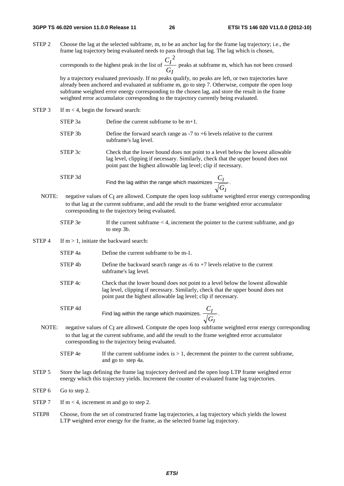STEP 2 Choose the lag at the selected subframe, m, to be an anchor lag for the frame lag trajectory; i.e., the frame lag trajectory being evaluated needs to pass through that lag. The lag which is chosen,

> corresponds to the highest peak in the list of *C G I I* 2 peaks at subframe m, which has not been crossed

> by a trajectory evaluated previously. If no peaks qualify, no peaks are left, or two trajectories have already been anchored and evaluated at subframe m, go to step 7. Otherwise, compute the open loop subframe weighted error energy corresponding to the chosen lag, and store the result in the frame weighted error accumulator corresponding to the trajectory currently being evaluated.

- STEP 3 If  $m < 4$ , begin the forward search:
	- STEP 3a Define the current subframe to be m+1.
	- STEP 3b Define the forward search range as -7 to +6 levels relative to the current subframe's lag level.
	- STEP 3c Check that the lower bound does not point to a level below the lowest allowable lag level, clipping if necessary. Similarly, check that the upper bound does not point past the highest allowable lag level; clip if necessary.
	- STEP 3d Find the lag within the range which maximizes  $\frac{C}{\sqrt{C}}$ *G I I* .
	- NOTE: negative values of C<sub>I</sub> are allowed. Compute the open loop subframe weighted error energy corresponding to that lag at the current subframe, and add the result to the frame weighted error accumulator corresponding to the trajectory being evaluated.
		- STEP  $3e$  If the current subframe  $4$ , increment the pointer to the current subframe, and go to step 3b.
- STEP 4 If  $m > 1$ , initiate the backward search:
	- STEP 4a Define the current subframe to be m-1.
	- STEP 4b Define the backward search range as  $-6$  to  $+7$  levels relative to the current subframe's lag level.
	- STEP 4c Check that the lower bound does not point to a level below the lowest allowable lag level, clipping if necessary. Similarly, check that the upper bound does not point past the highest allowable lag level; clip if necessary.

 STEP 4d Find lag within the range which maximizes.  $\frac{C}{\sqrt{C}}$ *G I I*

NOTE: negative values of CI are allowed. Compute the open loop subframe weighted error energy corresponding to that lag at the current subframe, and add the result to the frame weighted error accumulator corresponding to the trajectory being evaluated.

.

- STEP 4e If the current subframe index is  $> 1$ , decrement the pointer to the current subframe, and go to step 4a.
- STEP 5 Store the lags defining the frame lag trajectory derived and the open loop LTP frame weighted error energy which this trajectory yields. Increment the counter of evaluated frame lag trajectories.
- STEP 6 Go to step 2.
- STEP 7 If  $m < 4$ , increment m and go to step 2.
- STEP8 Choose, from the set of constructed frame lag trajectories, a lag trajectory which yields the lowest LTP weighted error energy for the frame, as the selected frame lag trajectory.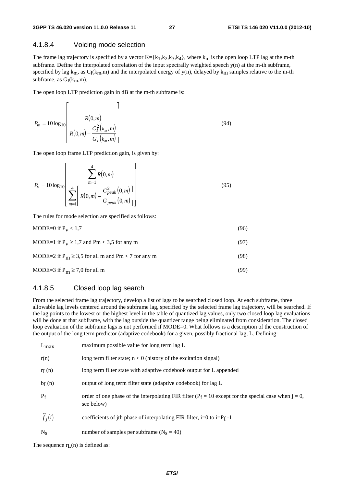#### 4.1.8.4 Voicing mode selection

The frame lag trajectory is specified by a vector  $K = \{k_1, k_2, k_3, k_4\}$ , where  $k_m$  is the open loop LTP lag at the m-th subframe. Define the interpolated correlation of the input spectrally weighted speech y(n) at the m-th subframe, specified by lag  $k_m$ , as  $C_I(k_m,m)$  and the interpolated energy of y(n), delayed by  $k_m$  samples relative to the m-th subframe, as  $G_I(k_m,m)$ .

The open loop LTP prediction gain in dB at the m-th subframe is:

$$
P_m = 10\log_{10}\left[\frac{R(0,m)}{R(0,m) - \frac{C_I^2(k_m,m)}{G_I(k_m,m)}}\right]
$$
(94)

The open loop frame LTP prediction gain, is given by:

$$
P_v = 10\log_{10}\left[\frac{\sum_{m=1}^{4} R(0,m)}{\sum_{m=1}^{4} \left[R(0,m) - \frac{C_{peak}^2(0,m)}{G_{peak}(0,m)}\right]}\right]
$$
(95)

The rules for mode selection are specified as follows:

$$
MODE = 0 \text{ if } P_V < 1,7 \tag{96}
$$

$$
MODE = 1 \text{ if } P_V \ge 1,7 \text{ and } Pm < 3,5 \text{ for any } m \tag{97}
$$

$$
MODE = 2 \text{ if } P_m \ge 3.5 \text{ for all m and } Pm < 7 \text{ for any m} \tag{98}
$$

$$
MODE = 3 \text{ if } P_m \ge 7,0 \text{ for all } m \tag{99}
$$

#### 4.1.8.5 Closed loop lag search

From the selected frame lag trajectory, develop a list of lags to be searched closed loop. At each subframe, three allowable lag levels centered around the subframe lag, specified by the selected frame lag trajectory, will be searched. If the lag points to the lowest or the highest level in the table of quantized lag values, only two closed loop lag evaluations will be done at that subframe, with the lag outside the quantizer range being eliminated from consideration. The closed loop evaluation of the subframe lags is not performed if MODE=0. What follows is a description of the construction of the output of the long term predictor (adaptive codebook) for a given, possibly fractional lag, L. Defining:

| $L_{\text{max}}$     | maximum possible value for long term lag L                                                                            |
|----------------------|-----------------------------------------------------------------------------------------------------------------------|
| r(n)                 | long term filter state; $n < 0$ (history of the excitation signal)                                                    |
| $r_{L}(n)$           | long term filter state with adaptive codebook output for L appended                                                   |
| b <sub>L</sub> (n)   | output of long term filter state (adaptive codebook) for lag L                                                        |
| $P_{f}$              | order of one phase of the interpolating FIR filter ( $P_f = 10$ except for the special case when j = 0,<br>see below) |
| $\widetilde{f}_i(i)$ | coefficients of jth phase of interpolating FIR filter, i=0 to i= $P_f - 1$                                            |
| $N_{S}$              | number of samples per subframe $(N_s = 40)$                                                                           |

The sequence  $r<sub>L</sub>(n)$  is defined as: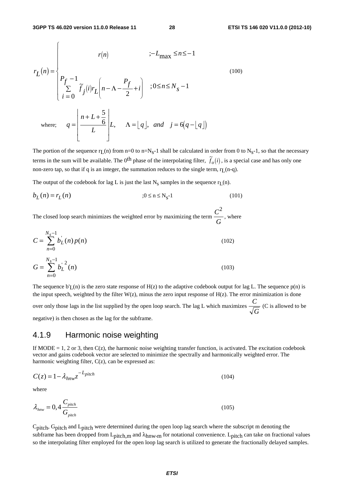$$
r_L(n) = \begin{cases} r(n) & \text{if } l = 1, \dots, n \le n \le -1 \\ P_f - 1 & \text{if } l = 0 \end{cases} \tag{100}
$$
\n
$$
\text{where: } q = \left| \frac{n + L + \frac{5}{6}}{L} \right| L, \quad \Lambda = \lfloor q \rfloor, \text{ and } j = 6(q - \lfloor q \rfloor)
$$

The portion of the sequence r<sub>L</sub>(n) from n=0 to n=N<sub>S</sub>-1 shall be calculated in order from 0 to N<sub>S</sub>-1, so that the necessary terms in the sum will be available. The 0<sup>th</sup> phase of the interpolating filter,  $\tilde{f}_o(i)$ , is a special case and has only one non-zero tap, so that if q is an integer, the summation reduces to the single term,  $r_L(n-q)$ .

The output of the codebook for lag L is just the last  $N_s$  samples in the sequence  $r_L(n)$ .

$$
b_L(n) = r_L(n) \t\t ; 0 \le n \le N_s-1 \t\t(101)
$$

The closed loop search minimizes the weighted error by maximizing the term *C G* 2 , where

$$
C = \sum_{n=0}^{N_s - 1} b_L(n) p(n)
$$
\n
$$
G = \sum_{n=0}^{N_s - 1} b_L^{1/2}(n)
$$
\n(102)\n(103)

The sequence  $b'(\mathbf{r})$  is the zero state response of  $H(z)$  to the adaptive codebook output for lag L. The sequence  $p(\mathbf{n})$  is the input speech, weighted by the filter W(z), minus the zero input response of H(z). The error minimization is done over only those lags in the list supplied by the open loop search. The lag L which maximizes *C G* (C is allowed to be negative) is then chosen as the lag for the subframe.

#### 4.1.9 Harmonic noise weighting

If MODE = 1, 2 or 3, then  $C(z)$ , the harmonic noise weighting transfer function, is activated. The excitation codebook vector and gains codebook vector are selected to minimize the spectrally and harmonically weighted error. The harmonic weighting filter,  $C(z)$ , can be expressed as:

$$
C(z) = 1 - \lambda_{h n w} z^{-L_{pitch}}
$$
\n(104)

where

$$
\lambda_{\text{hnw}} = 0, 4 \frac{C_{\text{pitch}}}{G_{\text{pitch}}} \tag{105}
$$

Cpitch, Gpitch and Lpitch were determined during the open loop lag search where the subscript m denoting the subframe has been dropped from L<sub>pitch,m</sub> and λ<sub>hnw</sub>,<sub>m</sub> for notational convenience. L<sub>pitch</sub> can take on fractional values so the interpolating filter employed for the open loop lag search is utilized to generate the fractionally delayed samples.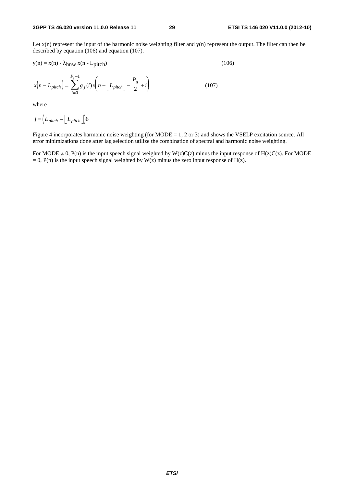Let  $x(n)$  represent the input of the harmonic noise weighting filter and  $y(n)$  represent the output. The filter can then be described by equation (106) and equation (107).

$$
y(n) = x(n) - \lambda_{hnw} x(n - L_{pitch})
$$
\n(106)

$$
x(n - L_{pitch}) = \sum_{i=0}^{P_g - 1} g_j(i) x\left(n - \left\lfloor L_{pitch} \right\rfloor - \frac{P_g}{2} + i\right)
$$
 (107)

where

$$
j = \left( L_{pitch} - \left\lfloor L_{pitch} \right\rfloor \right) 6
$$

Figure 4 incorporates harmonic noise weighting (for MODE = 1, 2 or 3) and shows the VSELP excitation source. All error minimizations done after lag selection utilize the combination of spectral and harmonic noise weighting.

For MODE  $\neq$  0, P(n) is the input speech signal weighted by W(z)C(z) minus the input response of H(z)C(z). For MODE  $= 0$ , P(n) is the input speech signal weighted by W(z) minus the zero input response of H(z).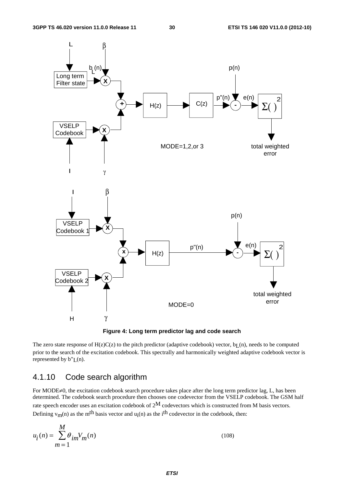



The zero state response of  $H(z)C(z)$  to the pitch predictor (adaptive codebook) vector,  $bL(n)$ , needs to be computed prior to the search of the excitation codebook. This spectrally and harmonically weighted adaptive codebook vector is represented by  $b''(n)$ .

## 4.1.10 Code search algorithm

For MODE≠0, the excitation codebook search procedure takes place after the long term predictor lag, L, has been determined. The codebook search procedure then chooses one codevector from the VSELP codebook. The GSM half rate speech encoder uses an excitation codebook of 2M codevectors which is constructed from M basis vectors. Defining  $v_m(n)$  as the m<sup>th</sup> basis vector and  $u_i(n)$  as the i<sup>th</sup> codevector in the codebook, then:

$$
u_i(n) = \sum_{m=1}^{M} \theta_{im} V_m(n)
$$
\n
$$
(108)
$$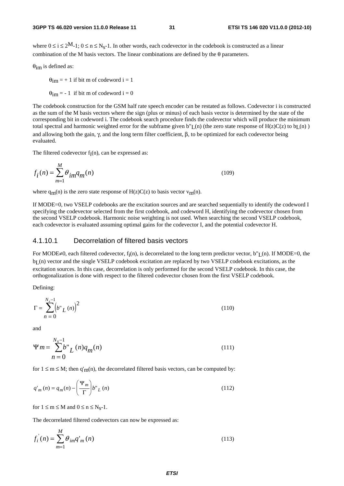where  $0 \le i \le 2^M-1$ ;  $0 \le n \le N_s-1$ . In other words, each codevector in the codebook is constructed as a linear combination of the M basis vectors. The linear combinations are defined by the  $\theta$  parameters.

θim is defined as:

 $\theta_{\text{im}} = +1$  if bit m of codeword i = 1  $\theta_{\text{im}} = -1$  if bit m of codeword i = 0

The codebook construction for the GSM half rate speech encoder can be restated as follows. Codevector i is constructed as the sum of the M basis vectors where the sign (plus or minus) of each basis vector is determined by the state of the corresponding bit in codeword i. The codebook search procedure finds the codevector which will produce the minimum total spectral and harmonic weighted error for the subframe given b" $L(n)$  (the zero state response of  $H(z)C(z)$  to  $bL(n)$ ) and allowing both the gain,  $\gamma$ , and the long term filter coefficient,  $\beta$ , to be optimized for each codevector being evaluated.

The filtered codevector  $f_i(n)$ , can be expressed as:

$$
f_i(n) = \sum_{m=1}^{M} \theta_{im} q_m(n)
$$
\n(109)

where  $q_m(n)$  is the zero state response of  $H(z)C(z)$  to basis vector  $v_m(n)$ .

If MODE=0, two VSELP codebooks are the excitation sources and are searched sequentially to identify the codeword I specifying the codevector selected from the first codebook, and codeword H, identifying the codevector chosen from the second VSELP codebook. Harmonic noise weighting is not used. When searching the second VSELP codebook, each codevector is evaluated assuming optimal gains for the codevector I, and the potential codevector H.

#### 4.1.10.1 Decorrelation of filtered basis vectors

For MODE≠0, each filtered codevector,  $f_i(n)$ , is decorrelated to the long term predictor vector, b"L(n). If MODE=0, the b<sub>L</sub>(n) vector and the single VSELP codebook excitation are replaced by two VSELP codebook excitations, as the excitation sources. In this case, decorrelation is only performed for the second VSELP codebook. In this case, the orthogonalization is done with respect to the filtered codevector chosen from the first VSELP codebook.

Defining:

$$
\Gamma = \sum_{n=0}^{N_s - 1} \left( b^n L^{(n)} \right)^2
$$
\n(110)

and

$$
\Psi m = \sum_{n=0}^{N_s - 1} b^n L^{(n)} q_m(n)
$$
\n(111)

for  $1 \le m \le M$ ; then q'<sub>m</sub>(n), the decorrelated filtered basis vectors, can be computed by:

$$
q'_m(n) = q_m(n) - \left(\frac{\Psi_m}{\Gamma}\right) b''_L(n)
$$
\n(112)

for  $1 \le m \le M$  and  $0 \le n \le N_S-1$ .

The decorrelated filtered codevectors can now be expressed as:

$$
f_i^{(n)} = \sum_{m=1}^{M} \theta_{im} q'_m(n)
$$
\n(113)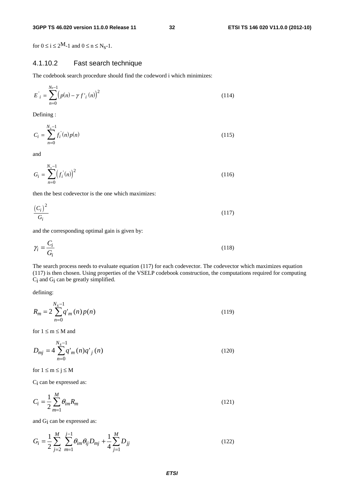for  $0 \le i \le 2^M - 1$  and  $0 \le n \le N_S - 1$ .

#### 4.1.10.2 Fast search technique

The codebook search procedure should find the codeword i which minimizes:

$$
E'_{i} = \sum_{n=0}^{N_{s}-1} (p(n) - \gamma f'_{i}(n))^{2}
$$
 (114)

Defining :

$$
C_i = \sum_{n=0}^{N_s - 1} f_i^{\dagger}(n) p(n)
$$
\n(115)

and

$$
G_i = \sum_{n=0}^{N_s - 1} \left( f_i^{\dagger}(n) \right)^2 \tag{116}
$$

then the best codevector is the one which maximizes:

$$
\frac{\left(C_i\right)^2}{G_i} \tag{117}
$$

and the corresponding optimal gain is given by:

$$
\gamma_i = \frac{C_i}{G_i} \tag{118}
$$

The search process needs to evaluate equation (117) for each codevector. The codevector which maximizes equation (117) is then chosen. Using properties of the VSELP codebook construction, the computations required for computing Ci and Gi can be greatly simplified.

defining:

$$
R_m = 2\sum_{n=0}^{N_s - 1} q'_m(n) p(n)
$$
\n(119)

for  $1 \le m \le M$  and

$$
D_{mj} = 4 \sum_{n=0}^{N_s - 1} q^{\prime}_m(n) q^{\prime}_j(n)
$$
 (120)

for  $1 \le m \le j \le M$ 

Ci can be expressed as:

$$
C_i = \frac{1}{2} \sum_{m=1}^{M} \theta_{im} R_m
$$
 (121)

and Gi can be expressed as:

$$
G_i = \frac{1}{2} \sum_{j=2}^{M} \sum_{m=1}^{j-1} \theta_{im} \theta_{ij} D_{mj} + \frac{1}{4} \sum_{j=1}^{M} D_{jj}
$$
 (122)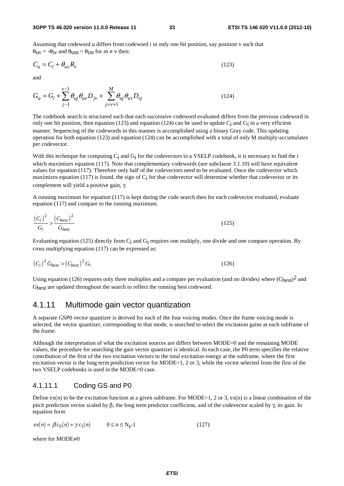Assuming that codeword u differs from codeword i in only one bit position, say position v such that  $\theta_{\rm UV} = -\theta_{\rm IV}$  and  $\theta_{\rm U} = \theta_{\rm im}$  for m  $\neq$  v then:

$$
C_u = C_i + \theta_{uv} R_v \tag{123}
$$

and

$$
G_{u} = G_{i} + \sum_{j=1}^{v-1} \theta_{uj} \theta_{uv} D_{jv} + \sum_{j=v+1}^{M} \theta_{uj} \theta_{uv} D_{vj}
$$
 (124)

The codebook search is structured such that each successive codeword evaluated differs from the previous codeword in only one bit position, then equation (123) and equation (124) can be used to update  $C_i$  and  $G_i$  in a very efficient manner. Sequencing of the codewords in this manner is accomplished using a binary Gray code. This updating operation for both equation (123) and equation (124) can be accomplished with a total of only M multiply-accumulates per codevector.

With this technique for computing C<sub>i</sub> and G<sub>i</sub> for the codevectors in a VSELP codebook, it is necessary to find the i which maximizes equation (117). Note that complementary codewords (see subclause 3.1.10) will have equivalent values for equation (117). Therefore only half of the codevectors need to be evaluated. Once the codevector which maximizes equation (117) is found, the sign of  $C_i$  for that codevector will determine whether that codevector or its complement will yield a positive gain, γ.

A running maximum for equation (117) is kept during the code search then for each codevector evaluated, evaluate equation (117) and compare to the running maximum.

$$
\frac{\left(C_i\right)^2}{G_i} > \frac{\left(C_{best}\right)^2}{G_{best}}\tag{125}
$$

Evaluating equation (125) directly from Ci and Gi requires one multiply, one divide and one compare operation. By cross multiplying equation (117) can be expressed as:

$$
\left(C_i\right)^2 G_{best} > \left(C_{best}\right)^2 G_i \tag{126}
$$

Using equation (126) requires only three multiplies and a compare per evaluation (and no divides) where  $(C_{best})^2$  and Gbest are updated throughout the search to reflect the running best codeword.

#### 4.1.11 Multimode gain vector quantization

A separate GSP0 vector quantizer is derived for each of the four voicing modes. Once the frame voicing mode is selected, the vector quantizer, corresponding to that mode, is searched to select the excitation gains at each subframe of the frame.

Although the interpretation of what the excitation sources are differs between MODE=0 and the remaining MODE values, the procedure for searching the gain vector quantizer is identical. In each case, the P0 term specifies the relative contribution of the first of the two excitation vectors to the total excitation energy at the subframe, where the first excitation vector is the long term prediction vector for MODE=1, 2 or 3, while the vector selected from the first of the two VSELP codebooks is used in the MODE=0 case.

#### 4.1.11.1 Coding GS and P0

Define  $ex(n)$  to be the excitation function at a given subframe. For MODE=1, 2 or 3,  $ex(n)$  is a linear combination of the pitch prediction vector scaled by β, the long term predictor coefficient, and of the codevector scaled by γ, its gain. In equation form

$$
ex(n) = \beta c_0(n) + \gamma c_1(n) \qquad 0 \le n \le N_S - 1 \qquad (127)
$$

where for MODE≠0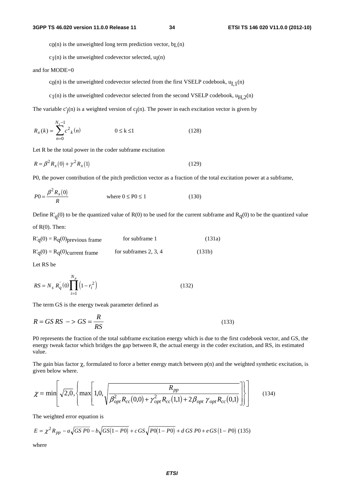$c_0(n)$  is the unweighted long term prediction vector,  $b_L(n)$ 

 $c_1(n)$  is the unweighted codevector selected,  $u_I(n)$ 

and for MODE=0

c<sub>0</sub>(n) is the unweighted codevector selected from the first VSELP codebook,  $u_{1,1}(n)$ 

 $c_1(n)$  is the unweighted codevector selected from the second VSELP codebook,  $u_{H,2}(n)$ 

The variable  $c'_{i}(n)$  is a weighted version of  $c_{i}(n)$ . The power in each excitation vector is given by

$$
R_x(k) = \sum_{n=0}^{N_s - 1} c^2_k(n) \qquad 0 \le k \le 1
$$
 (128)

Let R be the total power in the coder subframe excitation

$$
R = \beta^2 R_x(0) + \gamma^2 R_x(1) \tag{129}
$$

P0, the power contribution of the pitch prediction vector as a fraction of the total excitation power at a subframe,

$$
P0 = \frac{\beta^2 R_x(0)}{R}
$$
 where  $0 \le P0 \le 1$  (130)

Define  $R'_{q}(0)$  to be the quantized value of R(0) to be used for the current subframe and  $R_{q}(0)$  to be the quantized value of  $R(0)$ . Then:

$$
R'_{q}(0) = R_{q}(0)_{previous frame}
$$
 for subframe 1 (131a)  

$$
R'_{q}(0) = R_{q}(0)_{current frame}
$$
 for subframes 2, 3, 4 (131b)

Let RS be

$$
RS = N_s R_q^{'}(0) \prod_{i=1}^{N_p} (1 - r_i^2)
$$
 (132)

The term GS is the energy tweak parameter defined as

$$
R = GS\ RS \ - > GS = \frac{R}{RS} \tag{133}
$$

P0 represents the fraction of the total subframe excitation energy which is due to the first codebook vector, and GS, the energy tweak factor which bridges the gap between R, the actual energy in the coder excitation, and RS, its estimated value.

The gain bias factor  $\chi$ , formulated to force a better energy match between  $p(n)$  and the weighted synthetic excitation, is given below where.

$$
\chi = \min \left[ \sqrt{2.0}, \left\{ \max \left[ 1.0, \sqrt{\frac{R_{pp}}{\beta_{opt}^2 R_{cc}(0,0) + \gamma_{opt}^2 R_{cc}(1,1) + 2\beta_{opt} \gamma_{opt} R_{cc}(0,1)}} \right] \right] \right]
$$
(134)

The weighted error equation is

$$
E = \chi^2 R_{pp} - a\sqrt{GS\ P0} - b\sqrt{GS(1 - P0)} + c\,GS\sqrt{P0(1 - P0)} + d\,GS\ P0 + e\,GS(1 - P0)
$$
 (135)

where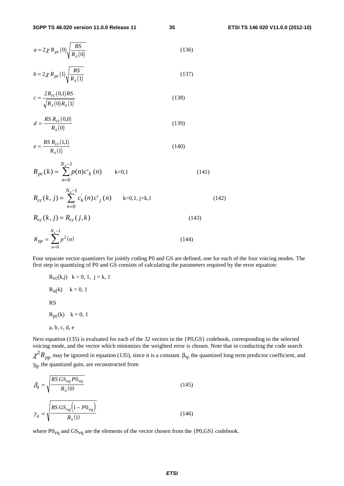$$
a = 2\chi R_{pc}(0)\sqrt{\frac{RS}{R_x(0)}}
$$
\n(136)

$$
b = 2\chi R_{pc}(1)\sqrt{\frac{RS}{R_x(1)}}
$$
\n(137)

$$
c = \frac{2R_{cc}(0,1)RS}{\sqrt{R_x(0)R_x(1)}}
$$
\n(138)

$$
d = \frac{RS R_{cc}(0,0)}{R_x(0)}
$$
(139)

$$
e = \frac{RS R_{cc}(1,1)}{R_x(1)}
$$
(140)

$$
R_{pc}(k) = \sum_{n=0}^{N_s - 1} p(n)c'_k(n) \qquad k=0,1
$$
\n
$$
R_{cc}(k, j) = \sum_{n=0}^{N_s - 1} c'_k(n)c'_j(n) \qquad k=0,1, j=k,1
$$
\n(142)

$$
R_{cc}(k, j) = R_{cc}(j, k)
$$
\n
$$
R_{pp} = \sum_{n=0}^{N_s - 1} p^2(n)
$$
\n(143)

Four separate vector quantizers for jointly coding P0 and GS are defined, one for each of the four voicing modes. The first step in quantizing of P0 and GS consists of calculating the parameters required by the error equation:

 $R_{cc}(k,j)$   $k = 0, 1, j = k, 1$  $R_x(k)$   $k = 0, 1$  RS  $R_{\text{pc}}(k)$   $k = 0, 1$ 

```
 a, b, c, d, e
```
Next equation (135) is evaluated for each of the 32 vectors in the {P0,GS} codebook, corresponding to the selected voicing mode, and the vector which minimizes the weighted error is chosen. Note that in conducting the code search

 $\chi^2 R_{pp}$  may be ignored in equation (135), since it is a constant.  $\beta_q$ , the quantized long term predictor coefficient, and  $\gamma_{\text{q}}$ , the quantized gain, are reconstructed from

$$
\beta_q = \sqrt{\frac{RS\,GS_{vq}P0_{vq}}{R_x(0)}}
$$
\n
$$
\gamma_q = \sqrt{\frac{RS\,GS_{vq}\left(1 - P0_{vq}\right)}{R_x(1)}}
$$
\n(146)

where  $P0_{\text{vq}}$  and  $GS_{\text{vq}}$  are the elements of the vector chosen from the  $\{P0,\text{GS}\}$  codebook.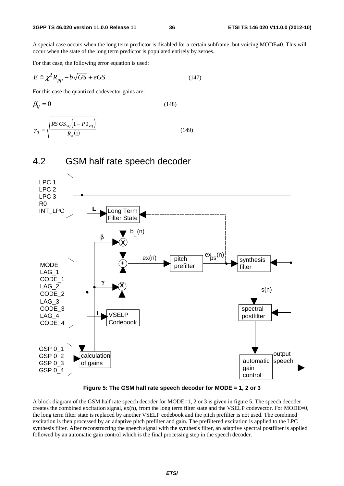A special case occurs when the long term predictor is disabled for a certain subframe, but voicing MODE≠0. This will occur when the state of the long term predictor is populated entirely by zeroes. A special case occurs when the<br>occur when the state of the long<br>For that case, the following error<br> $E \cong \chi^2 R_{pp} - b\sqrt{GS} + eGS$ 

For that case, the following error equation is used:

$$
E \cong \chi^2 R_{pp} - b\sqrt{GS} + eGS \tag{147}
$$

For this case the quantized codevector gains are:

$$
\beta_q = 0 \tag{148}
$$
\n
$$
\gamma_q = \sqrt{\frac{RS \, GS_{\nu q} \left(1 - P0_{\nu q}\right)}{R_{\chi}(1)}} \tag{149}
$$



#### 4.2 GSM half rate speech decoder

**Figure 5: The GSM half rate speech decoder for MODE = 1, 2 or 3** 

A block diagram of the GSM half rate speech decoder for MODE=1, 2 or 3 is given in figure 5. The speech decoder creates the combined excitation signal,  $ex(n)$ , from the long term filter state and the VSELP codevector. For MODE=0, the long term filter state is replaced by another VSELP codebook and the pitch prefilter is not used. The combined excitation is then processed by an adaptive pitch prefilter and gain. The prefiltered excitation is applied to the LPC synthesis filter. After reconstructing the speech signal with the synthesis filter, an adaptive spectral postfilter is applied followed by an automatic gain control which is the final processing step in the speech decoder.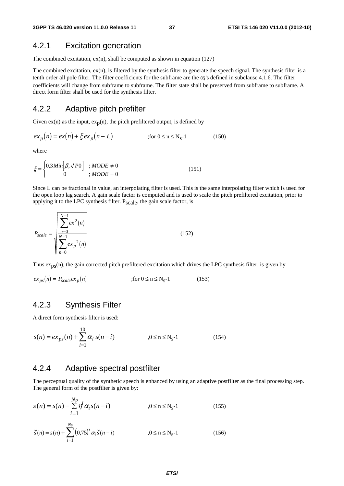### 4.2.1 Excitation generation

The combined excitation,  $ex(n)$ , shall be computed as shown in equation (127)

The combined excitation,  $ex(n)$ , is filtered by the synthesis filter to generate the speech signal. The synthesis filter is a tenth order all pole filter. The filter coefficients for the subframe are the  $\alpha_i$ 's defined in subclause 4.1.6. The filter coefficients will change from subframe to subframe. The filter state shall be preserved from subframe to subframe. A direct form filter shall be used for the synthesis filter.

#### 4.2.2 Adaptive pitch prefilter

Given  $ex(n)$  as the input,  $ex_p(n)$ , the pitch prefiltered output, is defined by

$$
ex_p(n) = ex(n) + \xi ex_p(n-L) \qquad \text{for } 0 \le n \le N_s-1 \tag{150}
$$

where

$$
\xi = \begin{cases} 0,3 \text{ Min} \big[ \beta, \sqrt{PO} \big] & ; \text{MODE} \neq 0 \\ 0 & ; \text{MODE} = 0 \end{cases} \tag{151}
$$

Since L can be fractional in value, an interpolating filter is used. This is the same interpolating filter which is used for the open loop lag search. A gain scale factor is computed and is used to scale the pitch prefiltered excitation, prior to applying it to the LPC synthesis filter. P<sub>scale</sub>, the gain scale factor, is

$$
P_{scale} = \sqrt{\sum_{n=0}^{N-1} \frac{ex^2(n)}{\sum_{n=0}^{N-1} ex_p^2(n)}}
$$
(152)

Thus  $\exp(s(n))$ , the gain corrected pitch prefiltered excitation which drives the LPC synthesis filter, is given by

$$
ex_{ps}(n) = P_{scale}ex_{p}(n) \qquad \text{(153)}
$$

#### 4.2.3 Synthesis Filter

A direct form synthesis filter is used:

*Np*

$$
s(n) = ex_{ps}(n) + \sum_{i=1}^{10} \alpha_i s(n-i) \qquad \qquad , 0 \le n \le N_s - 1 \qquad (154)
$$

## 4.2.4 Adaptive spectral postfilter

The perceptual quality of the synthetic speech is enhanced by using an adaptive postfilter as the final processing step. The general form of the postfilter is given by:

$$
\bar{s}(n) = s(n) - \sum_{i=1}^{Np} r \dot{f} \alpha_i s(n-i) \qquad , 0 \le n \le N_s - 1 \qquad (155)
$$

$$
\tilde{s}(n) = \bar{s}(n) + \sum_{i=1}^{N_p} (0.75)^i \alpha_i \tilde{s}(n-i) \qquad 0 \le n \le N_s - 1 \qquad (156)
$$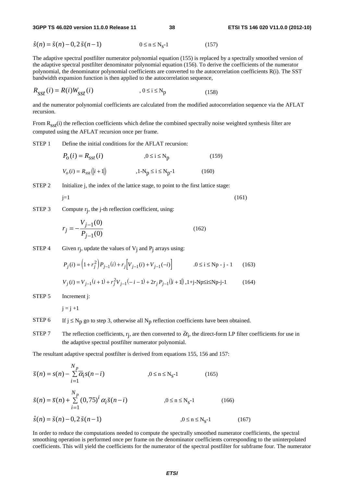**3GPP TS 46.020 version 11.0.0 Release 11 38 ETSI TS 146 020 V11.0.0 (2012-10)**

**3GPP TS 46.020 version 11.0.0 Release 11 38**  

$$
\hat{s}(n) = \tilde{s}(n) - 0, 2\tilde{s}(n-1)
$$
 **0 ≤ n ≤ N<sub>s</sub>-1** (157)

The adaptive spectral postfilter numerator polynomial equation (155) is replaced by a spectrally smoothed version of the adaptive spectral postfilter denominator polynomial equation (156). To derive the coefficients of the numerator polynomial, the denominator polynomial coefficients are converted to the autocorrelation coefficients R(i). The SST bandwidth expansion function is then applied to the autocorrelation sequence,

$$
R_{sst}(i) = R(i)W_{sst}(i) \qquad , 0 \le i \le N_p \qquad (158)
$$

and the numerator polynomial coefficients are calculated from the modified autocorrelation sequence via the AFLAT recursion.

From  $R_{sst}(i)$  the reflection coefficients which define the combined spectrally noise weighted synthesis filter are computed using the AFLAT recursion once per frame.

STEP 1 Define the initial conditions for the AFLAT recursion:

$$
P_o(i) = R_{sst}(i)
$$
  
\n
$$
v_o(i) = R_{sst}(|i + 1|)
$$
  
\n
$$
P_o(i) = R_{sst}(|i + 1|)
$$
  
\n
$$
P_o(i) = R_{sst}(|i + 1|)
$$
  
\n
$$
P_o(i) = R_{sst}(|i + 1|)
$$
  
\n
$$
P_o(i) = R_{nst}(|i + 1|)
$$
  
\n
$$
P_o(i) = R_{nst}(|i + 1|)
$$
  
\n
$$
P_o(i) = R_{nst}(|i + 1|)
$$
  
\n
$$
P_o(i) = R_{nst}(|i + 1|)
$$
  
\n
$$
P_o(i) = R_{nst}(|i + 1|)
$$
  
\n
$$
P_o(i) = R_{st}(|i + 1|)
$$
  
\n
$$
P_o(i) = R_{st}(|i + 1|)
$$
  
\n
$$
P_o(i) = R_{st}(|i + 1|)
$$
  
\n
$$
P_o(i) = R_{st}(|i + 1|)
$$
  
\n
$$
P_o(i) = R_{st}(|i + 1|)
$$
  
\n
$$
P_o(i) = R_{st}(|i + 1|)
$$
  
\n
$$
P_o(i) = R_{st}(|i + 1|)
$$
  
\n
$$
P_o(i) = R_{st}(|i + 1|)
$$
  
\n
$$
P_o(i) = R_{st}(|i + 1|)
$$
  
\n
$$
P_o(i) = R_{st}(|i + 1|)
$$
  
\n
$$
P_o(i) = R_{st}(|i + 1|)
$$

STEP 2 Initialize j, the index of the lattice stage, to point to the first lattice stage:

$$
j=1\tag{161}
$$

STEP 3 Compute  $r_i$ , the j-th reflection coefficient, using:

$$
r_j = -\frac{V_{j-1}(0)}{P_{j-1}(0)}
$$
\n(162)

STEP 4 Given  $r_j$ , update the values of  $V_j$  and  $P_j$  arrays using:

$$
P_j(i) = (1 + r_j^2) P_{j-1}(i) + r_j \Big[ V_{j-1}(i) + V_{j-1}(-i) \Big] \qquad 0 \le i \le Np - j - 1 \qquad (163)
$$

$$
V_j(i) = V_{j-1}(i+1) + r_j^2 V_{j-1}(-i-1) + 2r_j P_{j-1}(|i+1|), 1 + j - Np \le i \le Np - j - 1
$$
 (164)

STEP 5 Increment j:

 $j = j + 1$ 

*N <sup>p</sup>*

- STEP 6 If  $j \le N_p$  go to step 3, otherwise all  $N_p$  reflection coefficients have been obtained.
- STEP 7 The reflection coefficients,  $r_j$ , are then converted to  $\bar{\alpha}_i$ , the direct-form LP filter coefficients for use in the adaptive spectral postfilter numerator polynomial.

The resultant adaptive spectral postfilter is derived from equations 155, 156 and 157:

$$
\overline{s}(n) = s(n) - \sum_{i=1}^{N_p} \overline{\alpha}_i s(n-i) \qquad , 0 \le n \le N_s - 1 \qquad (165)
$$
  

$$
\tilde{s}(n) = \overline{s}(n) + \sum_{i=1}^{N_p} (0,75)^i \alpha_i \tilde{s}(n-i) \qquad , 0 \le n \le N_s - 1 \qquad (166)
$$
  

$$
\hat{s}(n) = \tilde{s}(n) - 0, 2\tilde{s}(n-1) \qquad , 0 \le n \le N_s - 1 \qquad (167)
$$

In order to reduce the computations needed to compute the spectrally smoothed numerator coefficients, the spectral smoothing operation is performed once per frame on the denominator coefficients corresponding to the uninterpolated coefficients. This will yield the coefficients for the numerator of the spectral postfilter for subframe four. The numerator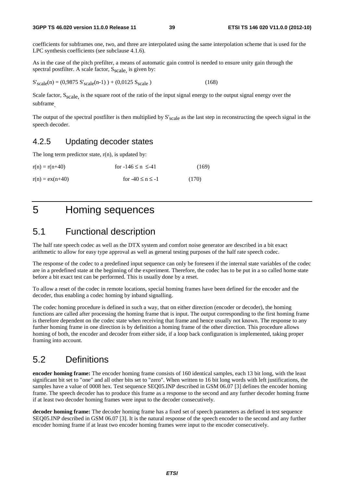coefficients for subframes one, two, and three are interpolated using the same interpolation scheme that is used for the LPC synthesis coefficients (see subclause 4.1.6).

As in the case of the pitch prefilter, a means of automatic gain control is needed to ensure unity gain through the spectral postfilter. A scale factor,  $S_{scale}$  is given by:

 $S'_{scale}(n) = (0.9875 S'_{scale}(n-1)) + (0.0125 S_{scale})$  (168)

Scale factor,  $S_{\text{scal}}$  is the square root of the ratio of the input signal energy to the output signal energy over the subframe.

The output of the spectral postfilter is then multiplied by  $S_{scale}$  as the last step in reconstructing the speech signal in the speech decoder.

#### 4.2.5 Updating decoder states

The long term predictor state,  $r(n)$ , is updated by:

| $r(n) = r(n+40)$  | for $-146 \le n \le -41$ | (169) |
|-------------------|--------------------------|-------|
| $r(n) = ex(n+40)$ | for $-40 \le n \le -1$   | (170) |

## 5 Homing sequences

## 5.1 Functional description

The half rate speech codec as well as the DTX system and comfort noise generator are described in a bit exact arithmetic to allow for easy type approval as well as general testing purposes of the half rate speech codec.

The response of the codec to a predefined input sequence can only be foreseen if the internal state variables of the codec are in a predefined state at the beginning of the experiment. Therefore, the codec has to be put in a so called home state before a bit exact test can be performed. This is usually done by a reset.

To allow a reset of the codec in remote locations, special homing frames have been defined for the encoder and the decoder, thus enabling a codec homing by inband signalling.

The codec homing procedure is defined in such a way, that on either direction (encoder or decoder), the homing functions are called after processing the homing frame that is input. The output corresponding to the first homing frame is therefore dependent on the codec state when receiving that frame and hence usually not known. The response to any further homing frame in one direction is by definition a homing frame of the other direction. This procedure allows homing of both, the encoder and decoder from either side, if a loop back configuration is implemented, taking proper framing into account.

## 5.2 Definitions

**encoder homing frame:** The encoder homing frame consists of 160 identical samples, each 13 bit long, with the least significant bit set to "one" and all other bits set to "zero". When written to 16 bit long words with left justifications, the samples have a value of 0008 hex. Test sequence SEQ05.INP described in GSM 06.07 [3] defines the encoder homing frame. The speech decoder has to produce this frame as a response to the second and any further decoder homing frame if at least two decoder homing frames were input to the decoder consecutively.

**decoder homing frame:** The decoder homing frame has a fixed set of speech parameters as defined in test sequence SEQ05.INP described in GSM 06.07 [3]. It is the natural response of the speech encoder to the second and any further encoder homing frame if at least two encoder homing frames were input to the encoder consecutively.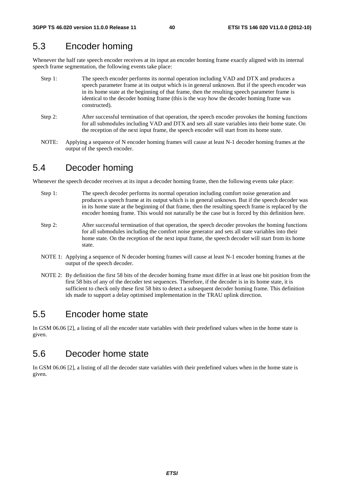## 5.3 Encoder homing

Whenever the half rate speech encoder receives at its input an encoder homing frame exactly aligned with its internal speech frame segmentation, the following events take place:

- Step 1: The speech encoder performs its normal operation including VAD and DTX and produces a speech parameter frame at its output which is in general unknown. But if the speech encoder was in its home state at the beginning of that frame, then the resulting speech parameter frame is identical to the decoder homing frame (this is the way how the decoder homing frame was constructed).
- Step 2: After successful termination of that operation, the speech encoder provokes the homing functions for all submodules including VAD and DTX and sets all state variables into their home state. On the reception of the next input frame, the speech encoder will start from its home state.
- NOTE: Applying a sequence of N encoder homing frames will cause at least N-1 decoder homing frames at the output of the speech encoder.

## 5.4 Decoder homing

Whenever the speech decoder receives at its input a decoder homing frame, then the following events take place:

- Step 1: The speech decoder performs its normal operation including comfort noise generation and produces a speech frame at its output which is in general unknown. But if the speech decoder was in its home state at the beginning of that frame, then the resulting speech frame is replaced by the encoder homing frame. This would not naturally be the case but is forced by this definition here.
- Step 2: After successful termination of that operation, the speech decoder provokes the homing functions for all submodules including the comfort noise generator and sets all state variables into their home state. On the reception of the next input frame, the speech decoder will start from its home state.
- NOTE 1: Applying a sequence of N decoder homing frames will cause at least N-1 encoder homing frames at the output of the speech decoder.
- NOTE 2: By definition the first 58 bits of the decoder homing frame must differ in at least one bit position from the first 58 bits of any of the decoder test sequences. Therefore, if the decoder is in its home state, it is sufficient to check only these first 58 bits to detect a subsequent decoder homing frame. This definition ids made to support a delay optimised implementation in the TRAU uplink direction.

## 5.5 Encoder home state

In GSM 06.06 [2], a listing of all the encoder state variables with their predefined values when in the home state is given.

## 5.6 Decoder home state

In GSM 06.06 [2], a listing of all the decoder state variables with their predefined values when in the home state is given.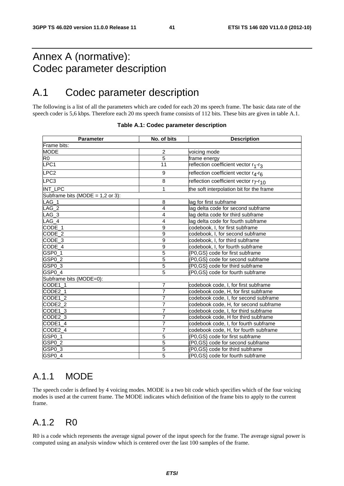## Annex A (normative): Codec parameter description

## A.1 Codec parameter description

The following is a list of all the parameters which are coded for each 20 ms speech frame. The basic data rate of the speech coder is 5,6 kbps. Therefore each 20 ms speech frame consists of 112 bits. These bits are given in table A.1.

| <b>Parameter</b>                   | No. of bits      | <b>Description</b>                                            |
|------------------------------------|------------------|---------------------------------------------------------------|
| Frame bits:                        |                  |                                                               |
| <b>MODE</b>                        | $\overline{2}$   | voicing mode                                                  |
| $\overline{R}$                     | 5                | frame energy                                                  |
| $\overline{\text{LPC1}}$           | 11               | reflection coefficient vector r1-r3                           |
| LPC <sub>2</sub>                   | 9                | reflection coefficient vector r4-r6                           |
| LPC3                               | 8                | reflection coefficient vector r <sub>7</sub> -r <sub>10</sub> |
| INT_LPC                            | 1                | the soft interpolation bit for the frame                      |
| Subframe bits (MODE = $1,2$ or 3): |                  |                                                               |
| $LAG_1$                            | 8                | lag for first subframe                                        |
| $LAG_2$                            | 4                | lag delta code for second subframe                            |
| $LAG_3$                            | 4                | lag delta code for third subframe                             |
| $LAG_4$                            | 4                | lag delta code for fourth subframe                            |
| CODE_1                             | 9                | codebook, I, for first subframe                               |
| CODE_2                             | $\overline{9}$   | codebook, I, for second subframe                              |
| CODE_3                             | $\boldsymbol{9}$ | codebook, I, for third subframe                               |
| CODE_4                             | $\overline{9}$   | codebook, I, for fourth subframe                              |
| GSP <sub>0_1</sub>                 | 5                | {P0,GS} code for first subframe                               |
| GSP <sub>0_2</sub>                 | 5                | {P0,GS} code for second subframe                              |
| GSP <sub>0</sub> 3                 | 5                | {P0,GS} code for third subframe                               |
| GSP <sub>0_4</sub>                 | $\overline{5}$   | {P0,GS} code for fourth subframe                              |
| Subframe bits (MODE=0):            |                  |                                                               |
| CODE1_1                            | 7                | codebook code, I, for first subframe                          |
| CODE2_1                            | 7                | codebook code, H, for first subframe                          |
| CODE1_2                            | 7                | codebook code, I, for second subframe                         |
| CODE2 <sub>2</sub>                 | 7                | codebook code, H, for second subframe                         |
| CODE1_3                            | 7                | codebook code, I, for third subframe                          |
| CODE2_3                            | 7                | codebook code, H for third subframe                           |
| CODE1_4                            | $\overline{7}$   | codebook code, I, for fourth subframe                         |
| CODE2_4                            | 7                | codebook code, H, for fourth subframe                         |
| GSP0_1                             | 5                | {P0,GS} code for first subframe                               |
| GSP <sub>0_2</sub>                 | 5                | {P0,GS} code for second subframe                              |
| GSP0_3                             | 5                | {P0,GS} code for third subframe                               |
| GSP <sub>0</sub> _4                | 5                | {P0, GS} code for fourth subframe                             |

| Table A.1: Codec parameter description |  |  |
|----------------------------------------|--|--|
|----------------------------------------|--|--|

## A.1.1 MODE

The speech coder is defined by 4 voicing modes. MODE is a two bit code which specifies which of the four voicing modes is used at the current frame. The MODE indicates which definition of the frame bits to apply to the current frame.

## A.1.2 R0

R0 is a code which represents the average signal power of the input speech for the frame. The average signal power is computed using an analysis window which is centered over the last 100 samples of the frame.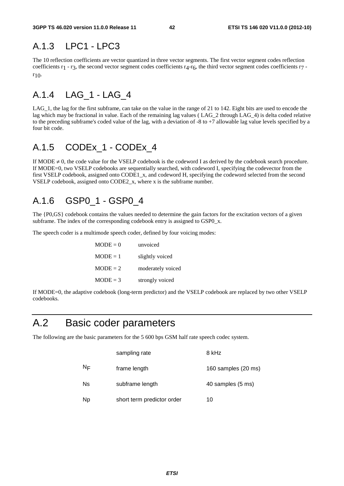## A.1.3 LPC1 - LPC3

The 10 reflection coefficients are vector quantized in three vector segments. The first vector segment codes reflection coefficients r1 - r3, the second vector segment codes coefficients r4-r6, the third vector segment codes coefficients r7 r10.

## A.1.4 LAG\_1 - LAG\_4

LAG 1, the lag for the first subframe, can take on the value in the range of 21 to 142. Eight bits are used to encode the lag which may be fractional in value. Each of the remaining lag values ( LAG\_2 through LAG\_4) is delta coded relative to the preceding subframe's coded value of the lag, with a deviation of  $-8$  to  $+7$  allowable lag value levels specified by a four bit code.

## A.1.5 CODEx\_1 - CODEx\_4

If MODE  $\neq$  0, the code value for the VSELP codebook is the codeword I as derived by the codebook search procedure. If MODE=0, two VSELP codebooks are sequentially searched, with codeword I, specifying the codevector from the first VSELP codebook, assigned onto CODE1\_x, and codeword H, specifying the codeword selected from the second VSELP codebook, assigned onto CODE2\_x, where x is the subframe number.

## A.1.6 GSP0\_1 - GSP0\_4

The {P0,GS} codebook contains the values needed to determine the gain factors for the excitation vectors of a given subframe. The index of the corresponding codebook entry is assigned to GSP0\_x.

The speech coder is a multimode speech coder, defined by four voicing modes:

| $MODE = 0$ | unvoiced          |
|------------|-------------------|
| $MODE = 1$ | slightly voiced   |
| $MODE = 2$ | moderately voiced |
| $MODE = 3$ | strongly voiced   |

If MODE=0, the adaptive codebook (long-term predictor) and the VSELP codebook are replaced by two other VSELP codebooks.

## A.2 Basic coder parameters

The following are the basic parameters for the 5 600 bps GSM half rate speech codec system.

|    | sampling rate              | 8 kHz               |
|----|----------------------------|---------------------|
| ΝF | frame length               | 160 samples (20 ms) |
| Ns | subframe length            | 40 samples (5 ms)   |
| Np | short term predictor order | 10                  |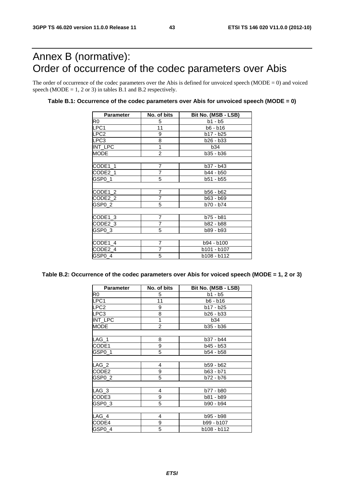## Annex B (normative): Order of occurrence of the codec parameters over Abis

The order of occurrence of the codec parameters over the Abis is defined for unvoiced speech ( $\text{MODE} = 0$ ) and voiced speech (MODE =  $1, 2$  or  $3$ ) in tables B.1 and B.2 respectively.

#### **Table B.1: Occurrence of the codec parameters over Abis for unvoiced speech (MODE = 0)**

| <b>Parameter</b> | No. of bits    | Bit No. (MSB - LSB) |
|------------------|----------------|---------------------|
| R0               | 5              | $b1 - b5$           |
| LPC1             | 11             | b6 - b16            |
| LPC <sub>2</sub> | 9              | $b17 - b25$         |
| LPC3             | 8              | b26 - b33           |
| INT_LPC          | 1              | <b>b34</b>          |
| <b>MODE</b>      | $\overline{2}$ | b35 - b36           |
|                  |                |                     |
| CODE1_1          | $\overline{7}$ | $b37 - b43$         |
| CODE2_1          | $\overline{7}$ | b44 - b50           |
| GSP0_1           | 5              | b51 - b55           |
|                  |                |                     |
| CODE1_2          | 7              | b56 - b62           |
| CODE2_2          | 7              | b63 - b69           |
| GSP0_2           | 5              | b70 - b74           |
|                  |                |                     |
| CODE1_3          | $\overline{7}$ | b75 - b81           |
| CODE2_3          | $\overline{7}$ | b82 - b88           |
| GSP0_3           | 5              | b89 - b93           |
|                  |                |                     |
| CODE1_4          | $\overline{7}$ | b94 - b100          |
| CODE2_4          | 7              | b101 - b107         |
| GSP0_4           | 5              | b108 - b112         |
|                  |                |                     |

#### **Table B.2: Occurrence of the codec parameters over Abis for voiced speech (MODE = 1, 2 or 3)**

| <b>Parameter</b> | No. of bits    | Bit No. (MSB - LSB) |
|------------------|----------------|---------------------|
| R0               | 5              | b1 - b5             |
| LPC1             | 11             | b6 - b16            |
| LPC <sub>2</sub> | 9              | b17 - b25           |
| LPC3             | 8              | b26 - b33           |
| INT_LPC          | 1              | <b>b34</b>          |
| <b>MODE</b>      | $\overline{2}$ | b35 - b36           |
|                  |                |                     |
| $LAG_1$          | 8              | b37 - b44           |
| CODE1            | 9              | b45 - b53           |
| GSP0 1           | 5              | b54 - b58           |
|                  |                |                     |
| $LAG_2$          | 4              | b59 - b62           |
| CODE2            | 9              | b63 - b71           |
| GSP0 2           | 5              | b72 - b76           |
|                  |                |                     |
| $LAG_3$          | 4              | b77 - b80           |
| CODE3            | 9              | b81 - b89           |
| GSP0 3           | 5              | b90 - b94           |
|                  |                |                     |
| LAG_4            | 4              | b95 - b98           |
| CODE4            | 9              | b99 - b107          |
| GSP0 4           | 5              | b108 - b112         |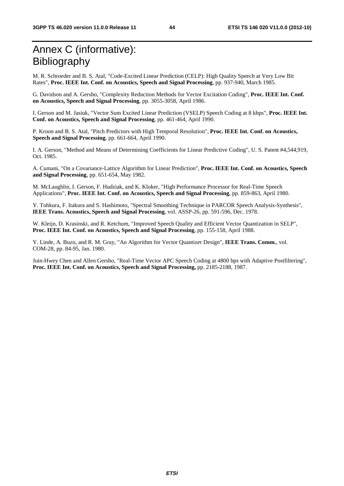## Annex C (informative): Bibliography

M. R. Schroeder and B. S. Atal, "Code-Excited Linear Prediction (CELP): High Quality Speech at Very Low Bit Rates", **Proc. IEEE Int. Conf. on Acoustics, Speech and Signal Processing**, pp. 937-940, March 1985.

G. Davidson and A. Gersho, "Complexity Reduction Methods for Vector Excitation Coding", **Proc. IEEE Int. Conf. on Acoustics, Speech and Signal Processing**, pp. 3055-3058, April 1986.

I. Gerson and M. Jasiuk, "Vector Sum Excited Linear Prediction (VSELP) Speech Coding at 8 kbps", **Proc. IEEE Int. Conf. on Acoustics, Speech and Signal Processing**, pp. 461-464, April 1990.

P. Kroon and B. S. Atal, "Pitch Predictors with High Temporal Resolution", **Proc. IEEE Int. Conf. on Acoustics, Speech and Signal Processing**, pp. 661-664, April 1990.

I. A. Gerson, "Method and Means of Determining Coefficients for Linear Predictive Coding", U. S. Patent #4,544,919, Oct. 1985.

A. Cumani, "On a Covariance-Lattice Algorithm for Linear Prediction", **Proc. IEEE Int. Conf. on Acoustics, Speech and Signal Processing**, pp. 651-654, May 1982.

M. McLaughlin, I. Gerson, F. Hudziak, and K. Kloker, "High Performance Processor for Real-Time Speech Applications", **Proc. IEEE Int. Conf. on Acoustics, Speech and Signal Processing**, pp. 859-863, April 1980.

Y. Tohkura, F. Itakura and S. Hashimoto, "Spectral Smoothing Technique in PARCOR Speech Analysis-Synthesis", **IEEE Trans. Acoustics, Speech and Signal Processing**, vol. ASSP-26, pp. 591-596, Dec. 1978.

W. Kleijn, D. Krasinski, and R. Ketchum, "Improved Speech Quality and Efficient Vector Quantization in SELP", **Proc. IEEE Int. Conf. on Acoustics, Speech and Signal Processing**, pp. 155-158, April 1988.

Y. Linde, A. Buzo, and R. M. Gray, "An Algorithm for Vector Quantizer Design", **IEEE Trans. Comm.**, vol. COM-28, pp. 84-95, Jan. 1980.

Juin-Hwey Chen and Allen Gersho, "Real-Time Vector APC Speech Coding at 4800 bps with Adaptive Postfiltering", **Proc. IEEE Int. Conf. on Acoustics, Speech and Signal Processing,** pp. 2185-2188, 1987.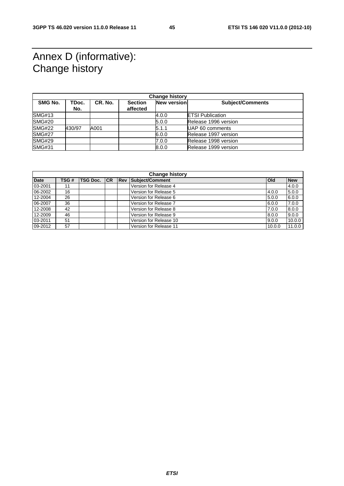## Annex D (informative): Change history

| <b>Change history</b> |        |         |                |                    |                         |  |  |  |  |
|-----------------------|--------|---------|----------------|--------------------|-------------------------|--|--|--|--|
| <b>SMG No.</b>        | TDoc.  | CR. No. | <b>Section</b> | <b>New version</b> | <b>Subject/Comments</b> |  |  |  |  |
|                       | No.    |         | affected       |                    |                         |  |  |  |  |
| <b>SMG#13</b>         |        |         |                | 4.0.0              | <b>ETSI Publication</b> |  |  |  |  |
| <b>SMG#20</b>         |        |         |                | 5.0.0              | Release 1996 version    |  |  |  |  |
| <b>SMG#22</b>         | 430/97 | A001    |                | 5.1.1              | UAP 60 comments         |  |  |  |  |
| <b>SMG#27</b>         |        |         |                | 6.0.0              | Release 1997 version    |  |  |  |  |
| <b>SMG#29</b>         |        |         |                | 7.0.0              | Release 1998 version    |  |  |  |  |
| <b>SMG#31</b>         |        |         |                | 8.0.0              | Release 1999 version    |  |  |  |  |

| <b>Change history</b> |      |                 |    |            |                        |            |            |  |  |
|-----------------------|------|-----------------|----|------------|------------------------|------------|------------|--|--|
| <b>Date</b>           | TSG# | <b>TSG Doc.</b> | CR | <b>Rev</b> | Subject/Comment        | <b>Old</b> | <b>New</b> |  |  |
| 03-2001               | 11   |                 |    |            | Version for Release 4  |            | 4.0.0      |  |  |
| 06-2002               | 16   |                 |    |            | Version for Release 5  | 4.0.0      | 5.0.0      |  |  |
| 12-2004               | 26   |                 |    |            | Version for Release 6  | 5.0.0      | 6.0.0      |  |  |
| 06-2007               | 36   |                 |    |            | Version for Release 7  | 6.0.0      | 7.0.0      |  |  |
| 12-2008               | 42   |                 |    |            | Version for Release 8  | 7.0.0      | 8.0.0      |  |  |
| 12-2009               | 46   |                 |    |            | Version for Release 9  | 8.0.0      | 9.0.0      |  |  |
| 03-2011               | 51   |                 |    |            | Version for Release 10 | 9.0.0      | 10.0.0     |  |  |
| 09-2012               | 57   |                 |    |            | Version for Release 11 | 10.0.0     | 11.0.0     |  |  |